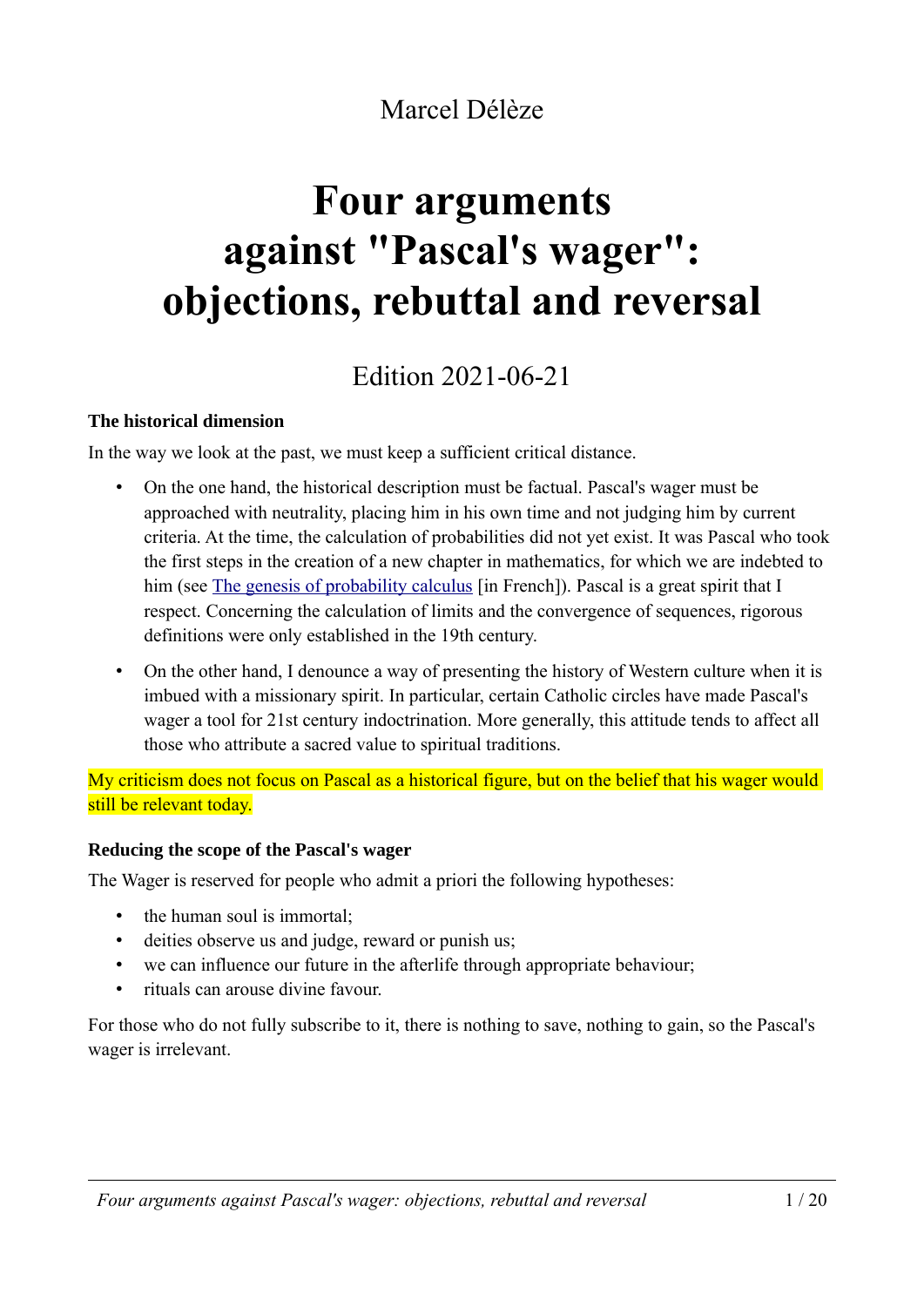# Marcel Délèze

# **Four arguments against "Pascal's wager": objections, rebuttal and reversal**

# Edition 2021-06-21

#### **The historical dimension**

In the way we look at the past, we must keep a sufficient critical distance.

- On the one hand, the historical description must be factual. Pascal's wager must be approached with neutrality, placing him in his own time and not judging him by current criteria. At the time, the calculation of probabilities did not yet exist. It was Pascal who took the first steps in the creation of a new chapter in mathematics, for which we are indebted to him (see [The genesis of probability calculus](https://www.deleze.name/marcel/culture/probabilites/genese.pdf) [in French]). Pascal is a great spirit that I respect. Concerning the calculation of limits and the convergence of sequences, rigorous definitions were only established in the 19th century.
- On the other hand, I denounce a way of presenting the history of Western culture when it is imbued with a missionary spirit. In particular, certain Catholic circles have made Pascal's wager a tool for 21st century indoctrination. More generally, this attitude tends to affect all those who attribute a sacred value to spiritual traditions.

My criticism does not focus on Pascal as a historical figure, but on the belief that his wager would still be relevant today.

#### **Reducing the scope of the Pascal's wager**

The Wager is reserved for people who admit a priori the following hypotheses:

- the human soul is immortal:
- deities observe us and judge, reward or punish us;
- we can influence our future in the afterlife through appropriate behaviour;
- rituals can arouse divine favour.

For those who do not fully subscribe to it, there is nothing to save, nothing to gain, so the Pascal's wager is irrelevant.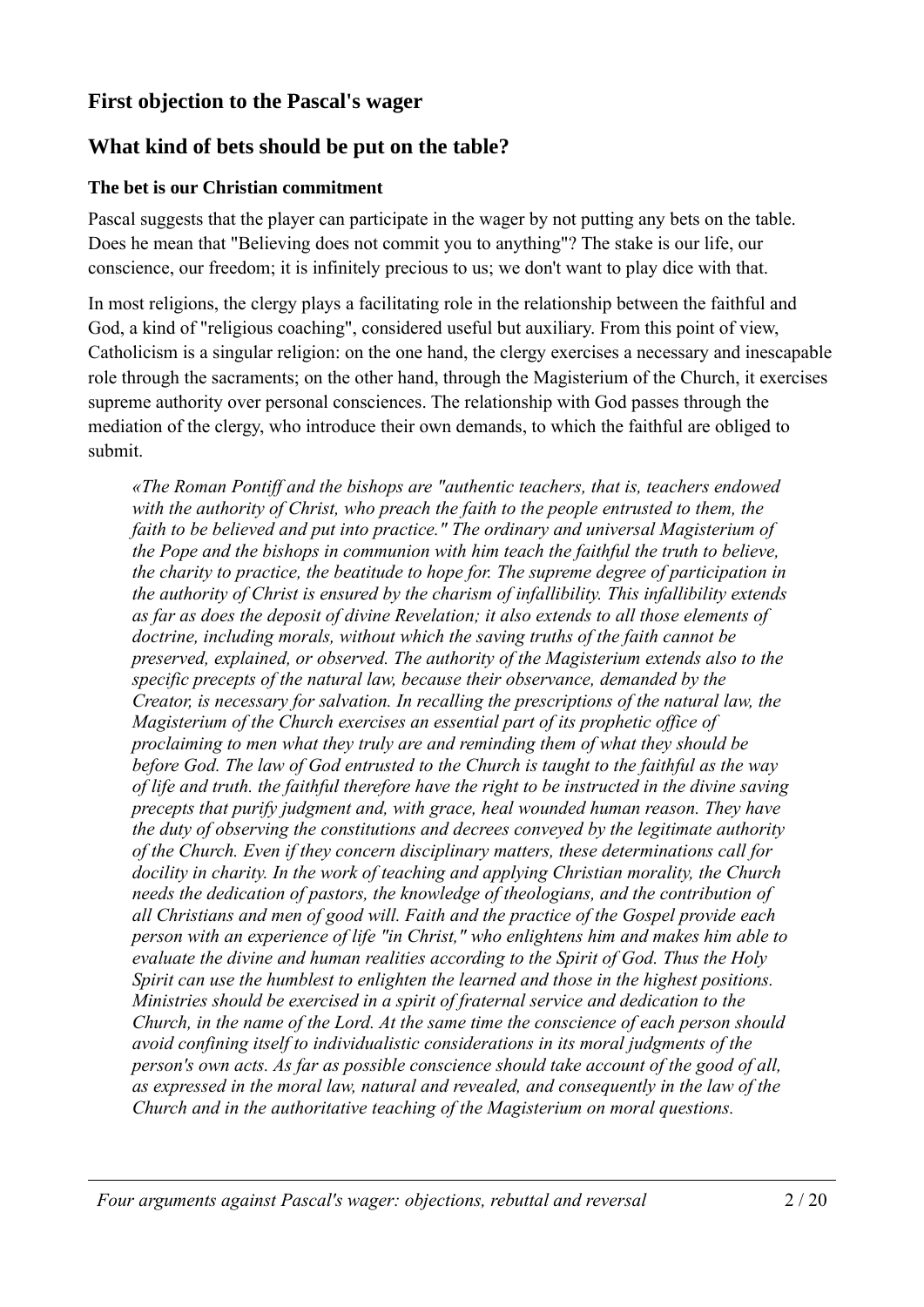## **First objection to the Pascal's wager**

## **What kind of bets should be put on the table?**

#### **The bet is our Christian commitment**

Pascal suggests that the player can participate in the wager by not putting any bets on the table. Does he mean that "Believing does not commit you to anything"? The stake is our life, our conscience, our freedom; it is infinitely precious to us; we don't want to play dice with that.

In most religions, the clergy plays a facilitating role in the relationship between the faithful and God, a kind of "religious coaching", considered useful but auxiliary. From this point of view, Catholicism is a singular religion: on the one hand, the clergy exercises a necessary and inescapable role through the sacraments; on the other hand, through the Magisterium of the Church, it exercises supreme authority over personal consciences. The relationship with God passes through the mediation of the clergy, who introduce their own demands, to which the faithful are obliged to submit.

*«The Roman Pontiff and the bishops are "authentic teachers, that is, teachers endowed with the authority of Christ, who preach the faith to the people entrusted to them, the faith to be believed and put into practice." The ordinary and universal Magisterium of the Pope and the bishops in communion with him teach the faithful the truth to believe, the charity to practice, the beatitude to hope for. The supreme degree of participation in the authority of Christ is ensured by the charism of infallibility. This infallibility extends as far as does the deposit of divine Revelation; it also extends to all those elements of doctrine, including morals, without which the saving truths of the faith cannot be preserved, explained, or observed. The authority of the Magisterium extends also to the specific precepts of the natural law, because their observance, demanded by the Creator, is necessary for salvation. In recalling the prescriptions of the natural law, the Magisterium of the Church exercises an essential part of its prophetic office of proclaiming to men what they truly are and reminding them of what they should be before God. The law of God entrusted to the Church is taught to the faithful as the way of life and truth. the faithful therefore have the right to be instructed in the divine saving precepts that purify judgment and, with grace, heal wounded human reason. They have the duty of observing the constitutions and decrees conveyed by the legitimate authority of the Church. Even if they concern disciplinary matters, these determinations call for docility in charity. In the work of teaching and applying Christian morality, the Church needs the dedication of pastors, the knowledge of theologians, and the contribution of all Christians and men of good will. Faith and the practice of the Gospel provide each person with an experience of life "in Christ," who enlightens him and makes him able to evaluate the divine and human realities according to the Spirit of God. Thus the Holy Spirit can use the humblest to enlighten the learned and those in the highest positions. Ministries should be exercised in a spirit of fraternal service and dedication to the Church, in the name of the Lord. At the same time the conscience of each person should avoid confining itself to individualistic considerations in its moral judgments of the person's own acts. As far as possible conscience should take account of the good of all, as expressed in the moral law, natural and revealed, and consequently in the law of the Church and in the authoritative teaching of the Magisterium on moral questions.*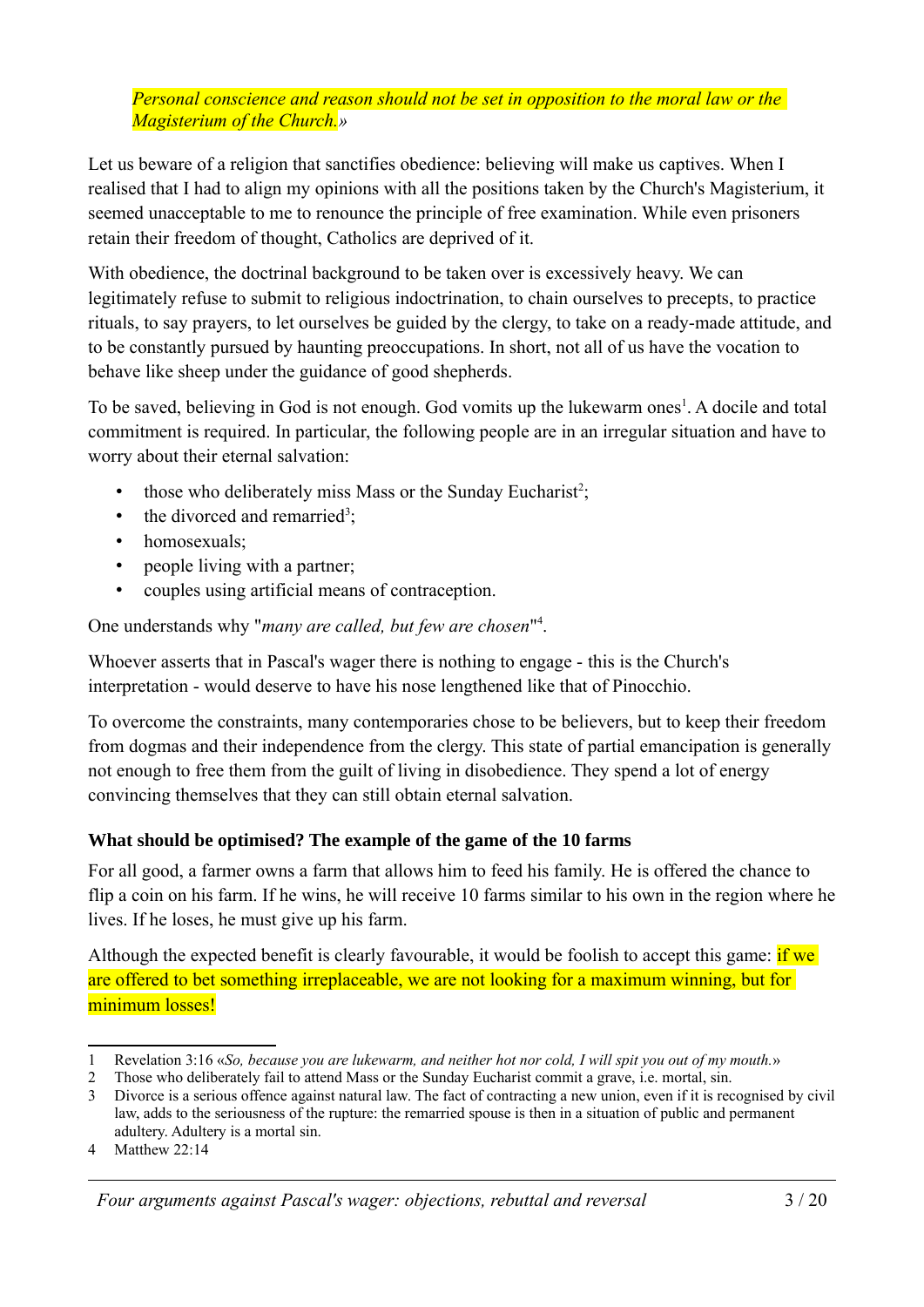#### *Personal conscience and reason should not be set in opposition to the moral law or the Magisterium of the Church.»*

Let us beware of a religion that sanctifies obedience: believing will make us captives. When I realised that I had to align my opinions with all the positions taken by the Church's Magisterium, it seemed unacceptable to me to renounce the principle of free examination. While even prisoners retain their freedom of thought, Catholics are deprived of it.

With obedience, the doctrinal background to be taken over is excessively heavy. We can legitimately refuse to submit to religious indoctrination, to chain ourselves to precepts, to practice rituals, to say prayers, to let ourselves be guided by the clergy, to take on a ready-made attitude, and to be constantly pursued by haunting preoccupations. In short, not all of us have the vocation to behave like sheep under the guidance of good shepherds.

To be saved, believing in God is not enough. God vomits up the lukewarm ones<sup>[1](#page-2-0)</sup>. A docile and total commitment is required. In particular, the following people are in an irregular situation and have to worry about their eternal salvation:

- those who deliberately miss Mass or the Sunday Eucharist<sup>[2](#page-2-1)</sup>;
- $\bullet$  the divorced and remarried<sup>[3](#page-2-2)</sup>;
- homosexuals:
- people living with a partner;
- couples using artificial means of contraception.

One understands why "*many are called, but few are chosen*" [4](#page-2-3) .

Whoever asserts that in Pascal's wager there is nothing to engage - this is the Church's interpretation - would deserve to have his nose lengthened like that of Pinocchio.

To overcome the constraints, many contemporaries chose to be believers, but to keep their freedom from dogmas and their independence from the clergy. This state of partial emancipation is generally not enough to free them from the guilt of living in disobedience. They spend a lot of energy convincing themselves that they can still obtain eternal salvation.

#### **What should be optimised? The example of the game of the 10 farms**

For all good, a farmer owns a farm that allows him to feed his family. He is offered the chance to flip a coin on his farm. If he wins, he will receive 10 farms similar to his own in the region where he lives. If he loses, he must give up his farm.

Although the expected benefit is clearly favourable, it would be foolish to accept this game:  $\frac{if}{if}$  we are offered to bet something irreplaceable, we are not looking for a maximum winning, but for minimum losses!

<span id="page-2-0"></span><sup>1</sup> Revelation 3:16 «*So, because you are lukewarm, and neither hot nor cold, I will spit you out of my mouth.*»

<span id="page-2-1"></span><sup>2</sup> Those who deliberately fail to attend Mass or the Sunday Eucharist commit a grave, i.e. mortal, sin.

<span id="page-2-2"></span><sup>3</sup> Divorce is a serious offence against natural law. The fact of contracting a new union, even if it is recognised by civil law, adds to the seriousness of the rupture: the remarried spouse is then in a situation of public and permanent adultery. Adultery is a mortal sin.

<span id="page-2-3"></span><sup>4</sup> Matthew 22:14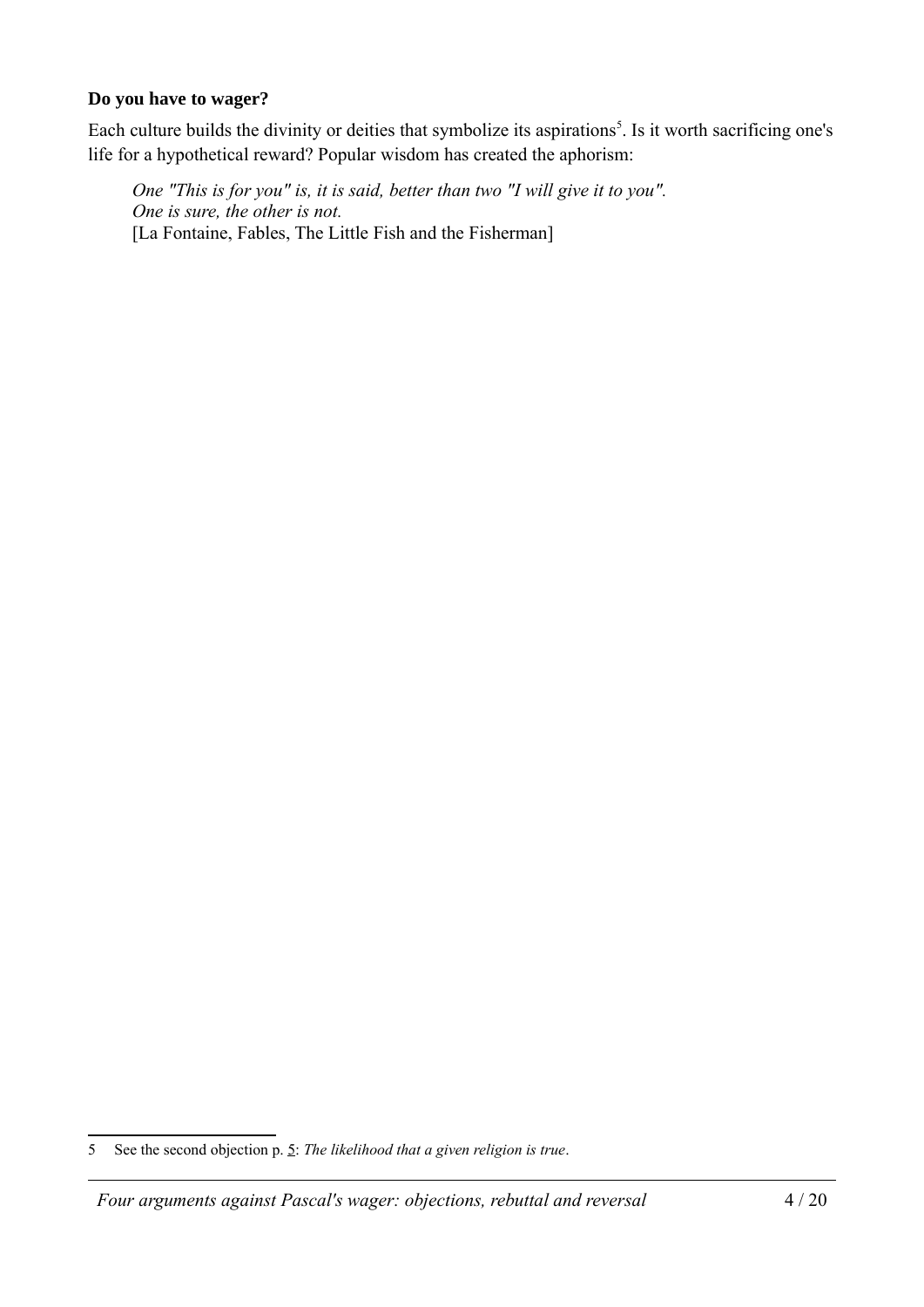#### **Do you have to wager?**

Each culture builds the divinity or deities that symbolize its aspirations<sup>[5](#page-3-0)</sup>. Is it worth sacrificing one's life for a hypothetical reward? Popular wisdom has created the aphorism:

*One "This is for you" is, it is said, better than two "I will give it to you". One is sure, the other is not.* [La Fontaine, Fables, The Little Fish and the Fisherman]

<span id="page-3-0"></span><sup>5</sup> See the second objection p. [5](#page-4-0): *The likelihood that a given religion is true*.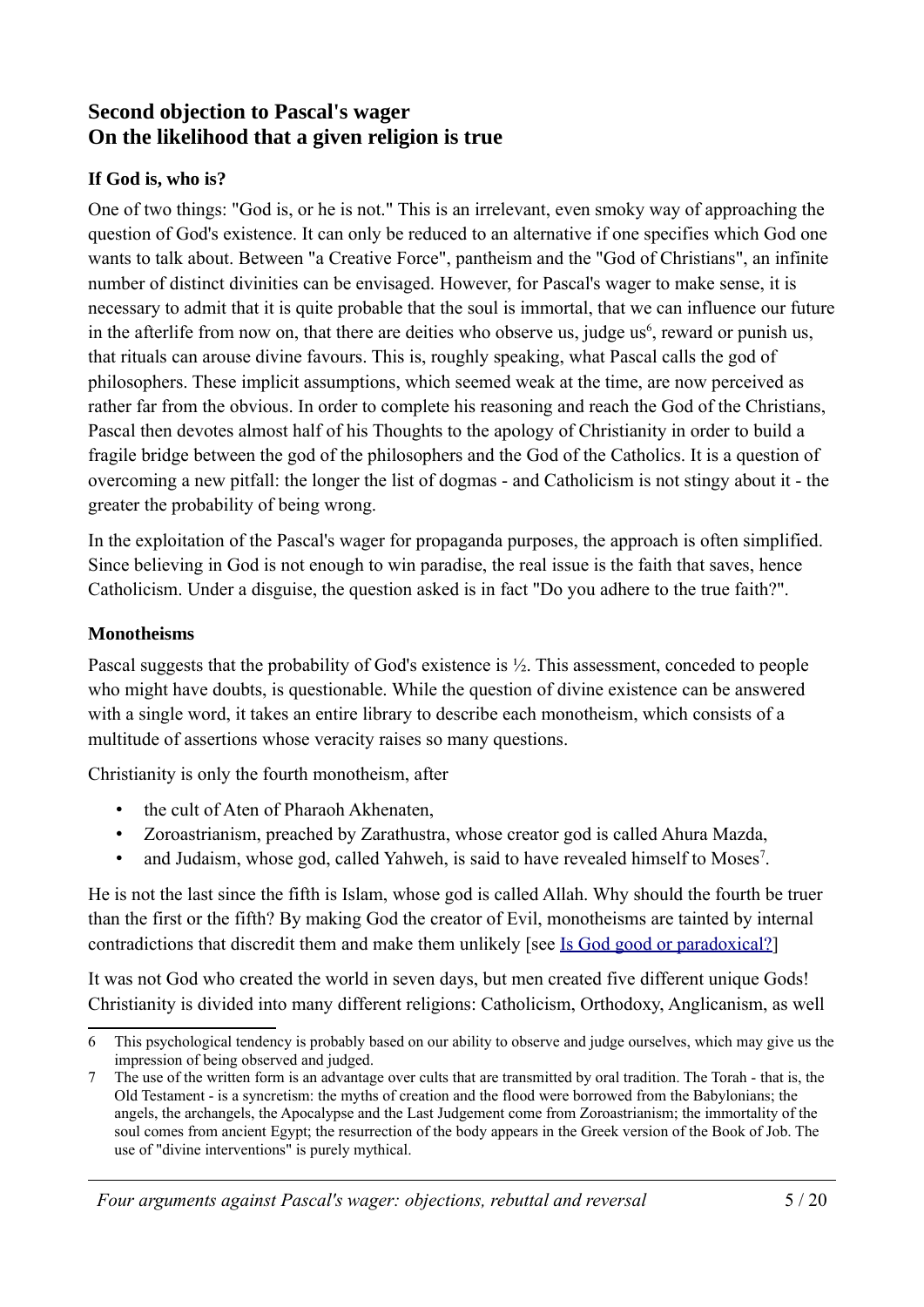## <span id="page-4-0"></span>**Second objection to Pascal's wager On the likelihood that a given religion is true**

#### **If God is, who is?**

One of two things: "God is, or he is not." This is an irrelevant, even smoky way of approaching the question of God's existence. It can only be reduced to an alternative if one specifies which God one wants to talk about. Between "a Creative Force", pantheism and the "God of Christians", an infinite number of distinct divinities can be envisaged. However, for Pascal's wager to make sense, it is necessary to admit that it is quite probable that the soul is immortal, that we can influence our future in the afterlife from now on, that there are deities who observe us, judge us<sup>[6](#page-4-1)</sup>, reward or punish us, that rituals can arouse divine favours. This is, roughly speaking, what Pascal calls the god of philosophers. These implicit assumptions, which seemed weak at the time, are now perceived as rather far from the obvious. In order to complete his reasoning and reach the God of the Christians, Pascal then devotes almost half of his Thoughts to the apology of Christianity in order to build a fragile bridge between the god of the philosophers and the God of the Catholics. It is a question of overcoming a new pitfall: the longer the list of dogmas - and Catholicism is not stingy about it - the greater the probability of being wrong.

In the exploitation of the Pascal's wager for propaganda purposes, the approach is often simplified. Since believing in God is not enough to win paradise, the real issue is the faith that saves, hence Catholicism. Under a disguise, the question asked is in fact "Do you adhere to the true faith?".

#### **Monotheisms**

Pascal suggests that the probability of God's existence is ½. This assessment, conceded to people who might have doubts, is questionable. While the question of divine existence can be answered with a single word, it takes an entire library to describe each monotheism, which consists of a multitude of assertions whose veracity raises so many questions.

Christianity is only the fourth monotheism, after

- the cult of Aten of Pharaoh Akhenaten,
- Zoroastrianism, preached by Zarathustra, whose creator god is called Ahura Mazda,
- and Judaism, whose god, called Yahweh, is said to have revealed himself to Moses<sup>[7](#page-4-2)</sup>.

He is not the last since the fifth is Islam, whose god is called Allah. Why should the fourth be truer than the first or the fifth? By making God the creator of Evil, monotheisms are tainted by internal contradictions that discredit them and make them unlikely [see [Is God good or paradoxical?\]](https://www.deleze.name/marcel/en/philo/theologie/theologie-en.html)

It was not God who created the world in seven days, but men created five different unique Gods! Christianity is divided into many different religions: Catholicism, Orthodoxy, Anglicanism, as well

<span id="page-4-1"></span><sup>6</sup> This psychological tendency is probably based on our ability to observe and judge ourselves, which may give us the impression of being observed and judged.

<span id="page-4-2"></span><sup>7</sup> The use of the written form is an advantage over cults that are transmitted by oral tradition. The Torah - that is, the Old Testament - is a syncretism: the myths of creation and the flood were borrowed from the Babylonians; the angels, the archangels, the Apocalypse and the Last Judgement come from Zoroastrianism; the immortality of the soul comes from ancient Egypt; the resurrection of the body appears in the Greek version of the Book of Job. The use of "divine interventions" is purely mythical.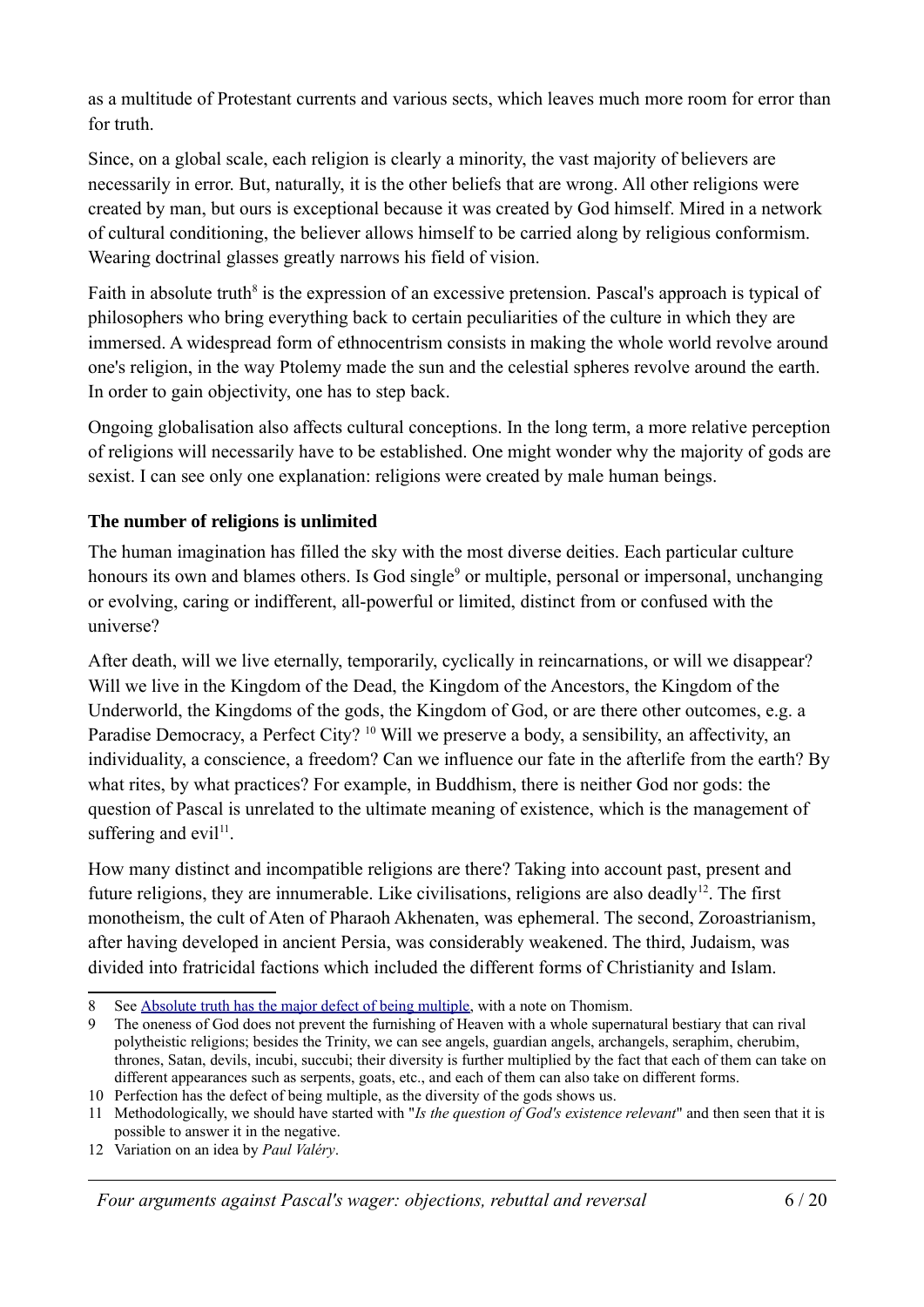as a multitude of Protestant currents and various sects, which leaves much more room for error than for truth.

Since, on a global scale, each religion is clearly a minority, the vast majority of believers are necessarily in error. But, naturally, it is the other beliefs that are wrong. All other religions were created by man, but ours is exceptional because it was created by God himself. Mired in a network of cultural conditioning, the believer allows himself to be carried along by religious conformism. Wearing doctrinal glasses greatly narrows his field of vision.

Faith in absolute truth<sup>[8](#page-5-0)</sup> is the expression of an excessive pretension. Pascal's approach is typical of philosophers who bring everything back to certain peculiarities of the culture in which they are immersed. A widespread form of ethnocentrism consists in making the whole world revolve around one's religion, in the way Ptolemy made the sun and the celestial spheres revolve around the earth. In order to gain objectivity, one has to step back.

Ongoing globalisation also affects cultural conceptions. In the long term, a more relative perception of religions will necessarily have to be established. One might wonder why the majority of gods are sexist. I can see only one explanation: religions were created by male human beings.

#### **The number of religions is unlimited**

The human imagination has filled the sky with the most diverse deities. Each particular culture honours its own and blames others. Is God single<sup>[9](#page-5-1)</sup> or multiple, personal or impersonal, unchanging or evolving, caring or indifferent, all-powerful or limited, distinct from or confused with the universe?

After death, will we live eternally, temporarily, cyclically in reincarnations, or will we disappear? Will we live in the Kingdom of the Dead, the Kingdom of the Ancestors, the Kingdom of the Underworld, the Kingdoms of the gods, the Kingdom of God, or are there other outcomes, e.g. a Paradise Democracy, a Perfect City? <sup>[10](#page-5-2)</sup> Will we preserve a body, a sensibility, an affectivity, an individuality, a conscience, a freedom? Can we influence our fate in the afterlife from the earth? By what rites, by what practices? For example, in Buddhism, there is neither God nor gods: the question of Pascal is unrelated to the ultimate meaning of existence, which is the management of suffering and evil $11$ .

How many distinct and incompatible religions are there? Taking into account past, present and future religions, they are innumerable. Like civilisations, religions are also deadly<sup>[12](#page-5-4)</sup>. The first monotheism, the cult of Aten of Pharaoh Akhenaten, was ephemeral. The second, Zoroastrianism, after having developed in ancient Persia, was considerably weakened. The third, Judaism, was divided into fratricidal factions which included the different forms of Christianity and Islam.

<span id="page-5-0"></span>See [Absolute truth has the major defect of being multiple,](https://www.deleze.name/marcel/en/philo/croyances/verite-en.html) with a note on Thomism.

<span id="page-5-1"></span><sup>9</sup> The oneness of God does not prevent the furnishing of Heaven with a whole supernatural bestiary that can rival polytheistic religions; besides the Trinity, we can see angels, guardian angels, archangels, seraphim, cherubim, thrones, Satan, devils, incubi, succubi; their diversity is further multiplied by the fact that each of them can take on different appearances such as serpents, goats, etc., and each of them can also take on different forms.

<span id="page-5-2"></span><sup>10</sup> Perfection has the defect of being multiple, as the diversity of the gods shows us.

<span id="page-5-3"></span><sup>11</sup> Methodologically, we should have started with "*Is the question of God's existence relevant*" and then seen that it is possible to answer it in the negative.

<span id="page-5-4"></span><sup>12</sup> Variation on an idea by *Paul Valéry*.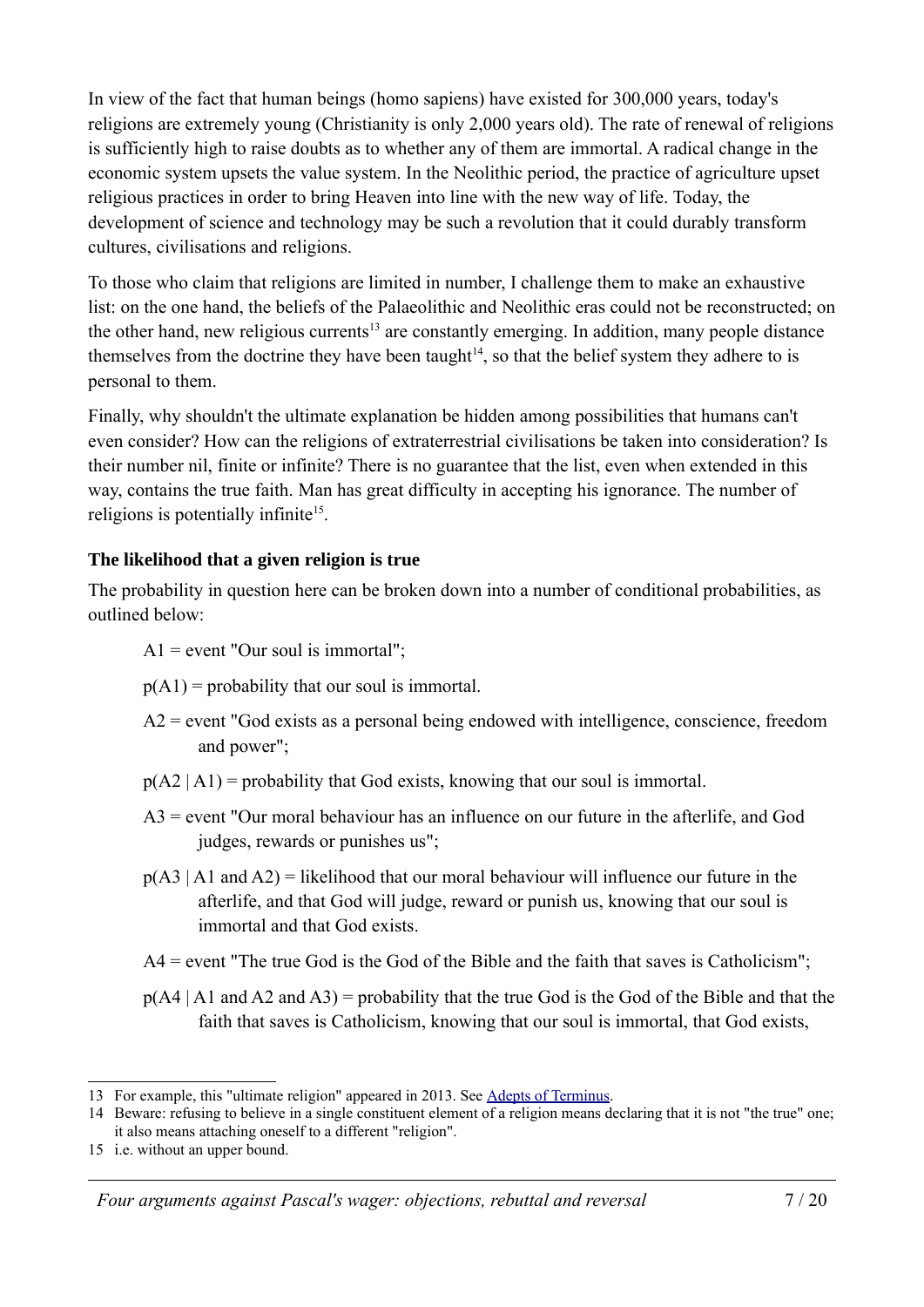In view of the fact that human beings (homo sapiens) have existed for 300,000 years, today's religions are extremely young (Christianity is only 2,000 years old). The rate of renewal of religions is sufficiently high to raise doubts as to whether any of them are immortal. A radical change in the economic system upsets the value system. In the Neolithic period, the practice of agriculture upset religious practices in order to bring Heaven into line with the new way of life. Today, the development of science and technology may be such a revolution that it could durably transform cultures, civilisations and religions.

To those who claim that religions are limited in number, I challenge them to make an exhaustive list: on the one hand, the beliefs of the Palaeolithic and Neolithic eras could not be reconstructed; on the other hand, new religious currents<sup>[13](#page-6-0)</sup> are constantly emerging. In addition, many people distance themselves from the doctrine they have been taught<sup>[14](#page-6-1)</sup>, so that the belief system they adhere to is personal to them.

Finally, why shouldn't the ultimate explanation be hidden among possibilities that humans can't even consider? How can the religions of extraterrestrial civilisations be taken into consideration? Is their number nil, finite or infinite? There is no guarantee that the list, even when extended in this way, contains the true faith. Man has great difficulty in accepting his ignorance. The number of religions is potentially infinite<sup>[15](#page-6-2)</sup>.

#### **The likelihood that a given religion is true**

The probability in question here can be broken down into a number of conditional probabilities, as outlined below:

- $A1$  = event "Our soul is immortal";
- $p(A1)$  = probability that our soul is immortal.
- A2 = event "God exists as a personal being endowed with intelligence, conscience, freedom and power";
- $p(A2 | A1)$  = probability that God exists, knowing that our soul is immortal.
- A3 = event "Our moral behaviour has an influence on our future in the afterlife, and God judges, rewards or punishes us";
- $p(A3 | A1$  and  $A2)$  = likelihood that our moral behaviour will influence our future in the afterlife, and that God will judge, reward or punish us, knowing that our soul is immortal and that God exists.
- A4 = event "The true God is the God of the Bible and the faith that saves is Catholicism";
- $p(A4 | A1 \text{ and } A2 \text{ and } A3)$  = probability that the true God is the God of the Bible and that the faith that saves is Catholicism, knowing that our soul is immortal, that God exists,

<span id="page-6-0"></span><sup>13</sup> For example, this "ultimate religion" appeared in 2013. See [Adepts of Terminus.](https://www.deleze.name/marcel/en/philo/extras/at-en.html)

<span id="page-6-1"></span><sup>14</sup> Beware: refusing to believe in a single constituent element of a religion means declaring that it is not "the true" one; it also means attaching oneself to a different "religion".

<span id="page-6-2"></span><sup>15</sup> i.e. without an upper bound.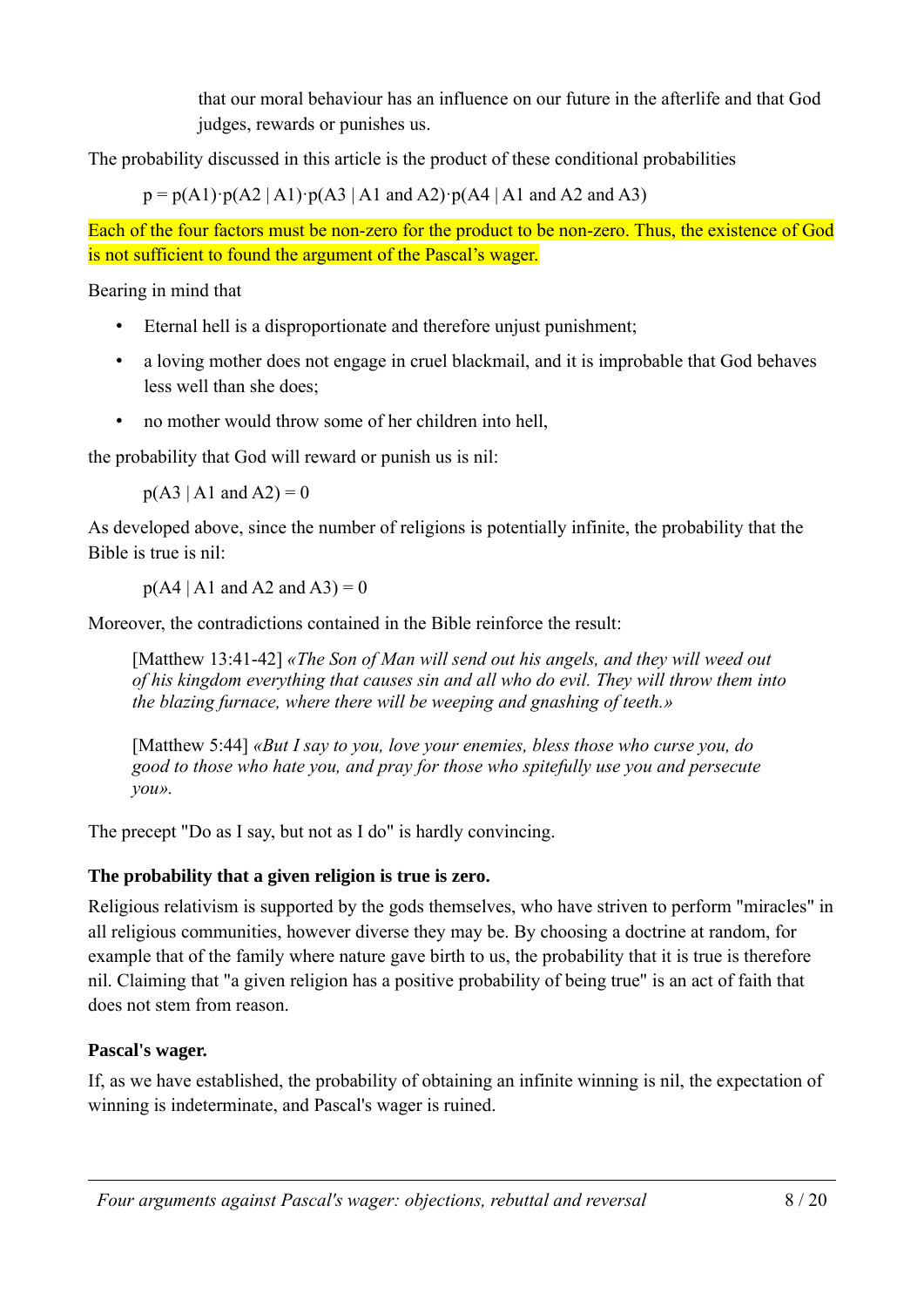that our moral behaviour has an influence on our future in the afterlife and that God judges, rewards or punishes us.

The probability discussed in this article is the product of these conditional probabilities

 $p = p(A1) \cdot p(A2 | A1) \cdot p(A3 | A1 \text{ and } A2) \cdot p(A4 | A1 \text{ and } A2 \text{ and } A3)$ 

Each of the four factors must be non-zero for the product to be non-zero. Thus, the existence of God is not sufficient to found the argument of the Pascal's wager.

Bearing in mind that

- Eternal hell is a disproportionate and therefore unjust punishment;
- a loving mother does not engage in cruel blackmail, and it is improbable that God behaves less well than she does;
- no mother would throw some of her children into hell,

the probability that God will reward or punish us is nil:

 $p(A3 | A1 \text{ and } A2) = 0$ 

As developed above, since the number of religions is potentially infinite, the probability that the Bible is true is nil:

 $p(A4 | A1 \text{ and } A2 \text{ and } A3) = 0$ 

Moreover, the contradictions contained in the Bible reinforce the result:

[Matthew 13:41-42] *«The Son of Man will send out his angels, and they will weed out of his kingdom everything that causes sin and all who do evil. They will throw them into the blazing furnace, where there will be weeping and gnashing of teeth.»*

[Matthew 5:44] *«But I say to you, love your enemies, bless those who curse you, do good to those who hate you, and pray for those who spitefully use you and persecute you».*

The precept "Do as I say, but not as I do" is hardly convincing.

## **The probability that a given religion is true is zero.**

Religious relativism is supported by the gods themselves, who have striven to perform "miracles" in all religious communities, however diverse they may be. By choosing a doctrine at random, for example that of the family where nature gave birth to us, the probability that it is true is therefore nil. Claiming that "a given religion has a positive probability of being true" is an act of faith that does not stem from reason.

## **Pascal's wager.**

If, as we have established, the probability of obtaining an infinite winning is nil, the expectation of winning is indeterminate, and Pascal's wager is ruined.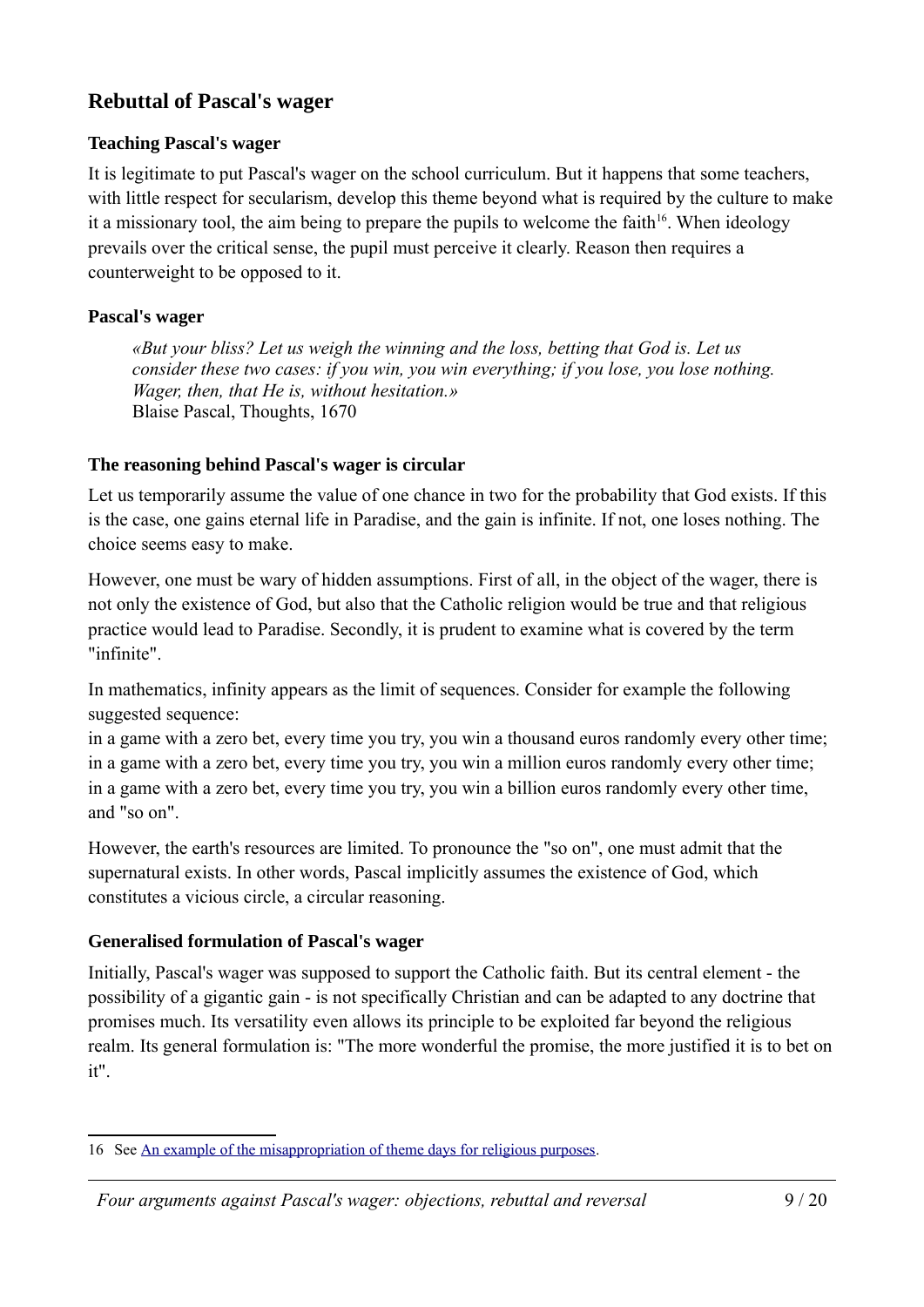## **Rebuttal of Pascal's wager**

#### **Teaching Pascal's wager**

It is legitimate to put Pascal's wager on the school curriculum. But it happens that some teachers, with little respect for secularism, develop this theme beyond what is required by the culture to make it a missionary tool, the aim being to prepare the pupils to welcome the faith <sup>[16](#page-8-0)</sup>. When ideology prevails over the critical sense, the pupil must perceive it clearly. Reason then requires a counterweight to be opposed to it.

#### **Pascal's wager**

*«But your bliss? Let us weigh the winning and the loss, betting that God is. Let us consider these two cases: if you win, you win everything; if you lose, you lose nothing. Wager, then, that He is, without hesitation.»* Blaise Pascal, Thoughts, 1670

#### **The reasoning behind Pascal's wager is circular**

Let us temporarily assume the value of one chance in two for the probability that God exists. If this is the case, one gains eternal life in Paradise, and the gain is infinite. If not, one loses nothing. The choice seems easy to make.

However, one must be wary of hidden assumptions. First of all, in the object of the wager, there is not only the existence of God, but also that the Catholic religion would be true and that religious practice would lead to Paradise. Secondly, it is prudent to examine what is covered by the term "infinite".

In mathematics, infinity appears as the limit of sequences. Consider for example the following suggested sequence:

in a game with a zero bet, every time you try, you win a thousand euros randomly every other time; in a game with a zero bet, every time you try, you win a million euros randomly every other time; in a game with a zero bet, every time you try, you win a billion euros randomly every other time, and "so on".

However, the earth's resources are limited. To pronounce the "so on", one must admit that the supernatural exists. In other words, Pascal implicitly assumes the existence of God, which constitutes a vicious circle, a circular reasoning.

#### **Generalised formulation of Pascal's wager**

Initially, Pascal's wager was supposed to support the Catholic faith. But its central element - the possibility of a gigantic gain - is not specifically Christian and can be adapted to any doctrine that promises much. Its versatility even allows its principle to be exploited far beyond the religious realm. Its general formulation is: "The more wonderful the promise, the more justified it is to bet on it".

<span id="page-8-0"></span><sup>16</sup> See [An example of the misappropriation of theme days for religious purposes](https://www.deleze.name/marcel/en/philo/clericalisme/Pascal_alibi-en.html).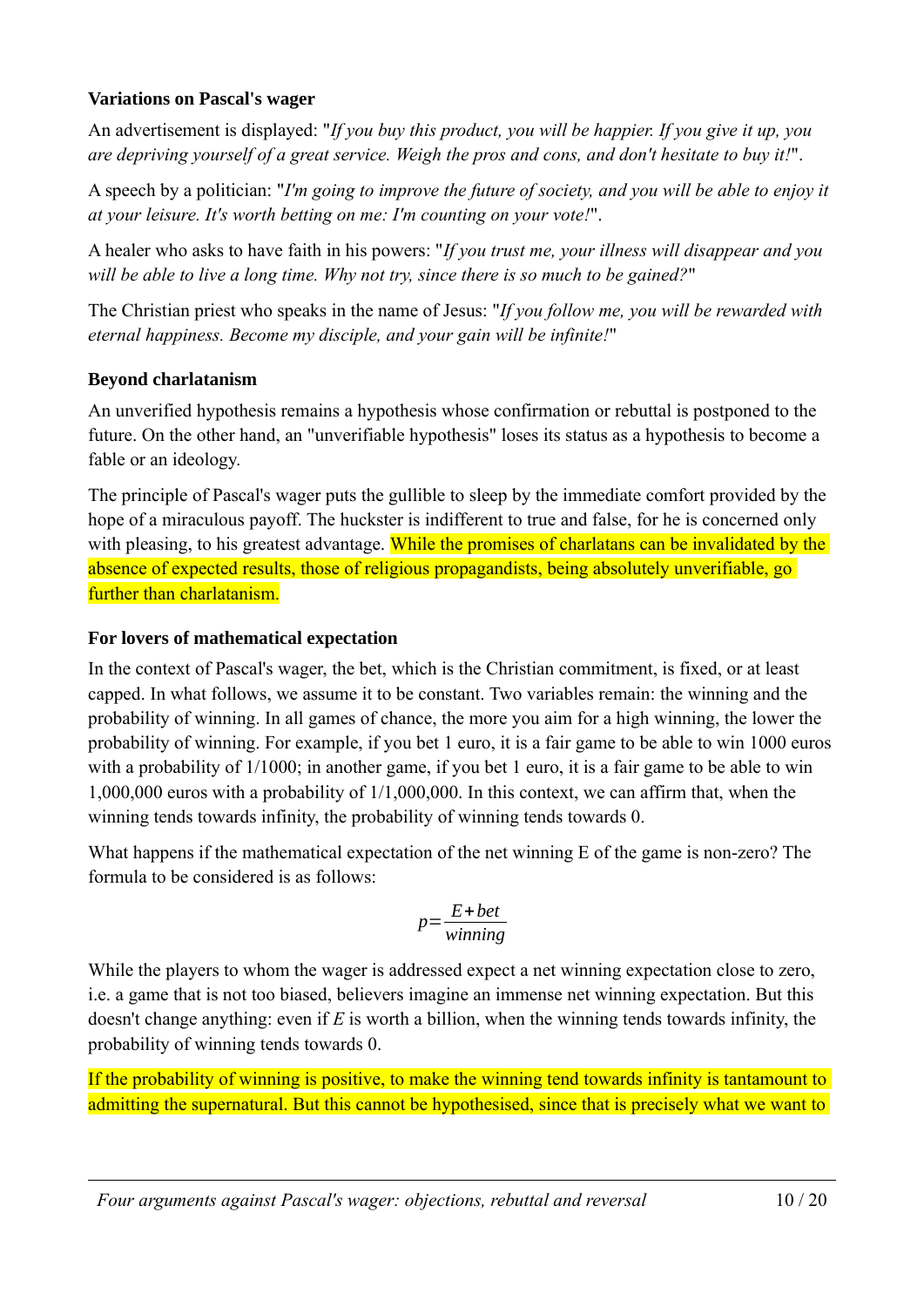#### **Variations on Pascal's wager**

An advertisement is displayed: "*If you buy this product, you will be happier. If you give it up, you are depriving yourself of a great service. Weigh the pros and cons, and don't hesitate to buy it!*".

A speech by a politician: "*I'm going to improve the future of society, and you will be able to enjoy it at your leisure. It's worth betting on me: I'm counting on your vote!*".

A healer who asks to have faith in his powers: "*If you trust me, your illness will disappear and you will be able to live a long time. Why not try, since there is so much to be gained?*"

The Christian priest who speaks in the name of Jesus: "*If you follow me, you will be rewarded with eternal happiness. Become my disciple, and your gain will be infinite!*"

#### **Beyond charlatanism**

An unverified hypothesis remains a hypothesis whose confirmation or rebuttal is postponed to the future. On the other hand, an "unverifiable hypothesis" loses its status as a hypothesis to become a fable or an ideology.

The principle of Pascal's wager puts the gullible to sleep by the immediate comfort provided by the hope of a miraculous payoff. The huckster is indifferent to true and false, for he is concerned only with pleasing, to his greatest advantage. While the promises of charlatans can be invalidated by the absence of expected results, those of religious propagandists, being absolutely unverifiable, go further than charlatanism.

#### **For lovers of mathematical expectation**

In the context of Pascal's wager, the bet, which is the Christian commitment, is fixed, or at least capped. In what follows, we assume it to be constant. Two variables remain: the winning and the probability of winning. In all games of chance, the more you aim for a high winning, the lower the probability of winning. For example, if you bet 1 euro, it is a fair game to be able to win 1000 euros with a probability of  $1/1000$ ; in another game, if you bet 1 euro, it is a fair game to be able to win 1,000,000 euros with a probability of 1/1,000,000. In this context, we can affirm that, when the winning tends towards infinity, the probability of winning tends towards 0.

What happens if the mathematical expectation of the net winning E of the game is non-zero? The formula to be considered is as follows:

$$
p = \frac{E + bet}{winning}
$$

While the players to whom the wager is addressed expect a net winning expectation close to zero, i.e. a game that is not too biased, believers imagine an immense net winning expectation. But this doesn't change anything: even if *E* is worth a billion, when the winning tends towards infinity, the probability of winning tends towards 0.

If the probability of winning is positive, to make the winning tend towards infinity is tantamount to admitting the supernatural. But this cannot be hypothesised, since that is precisely what we want to

*Four arguments against Pascal's wager: objections, rebuttal and reversal* 10/20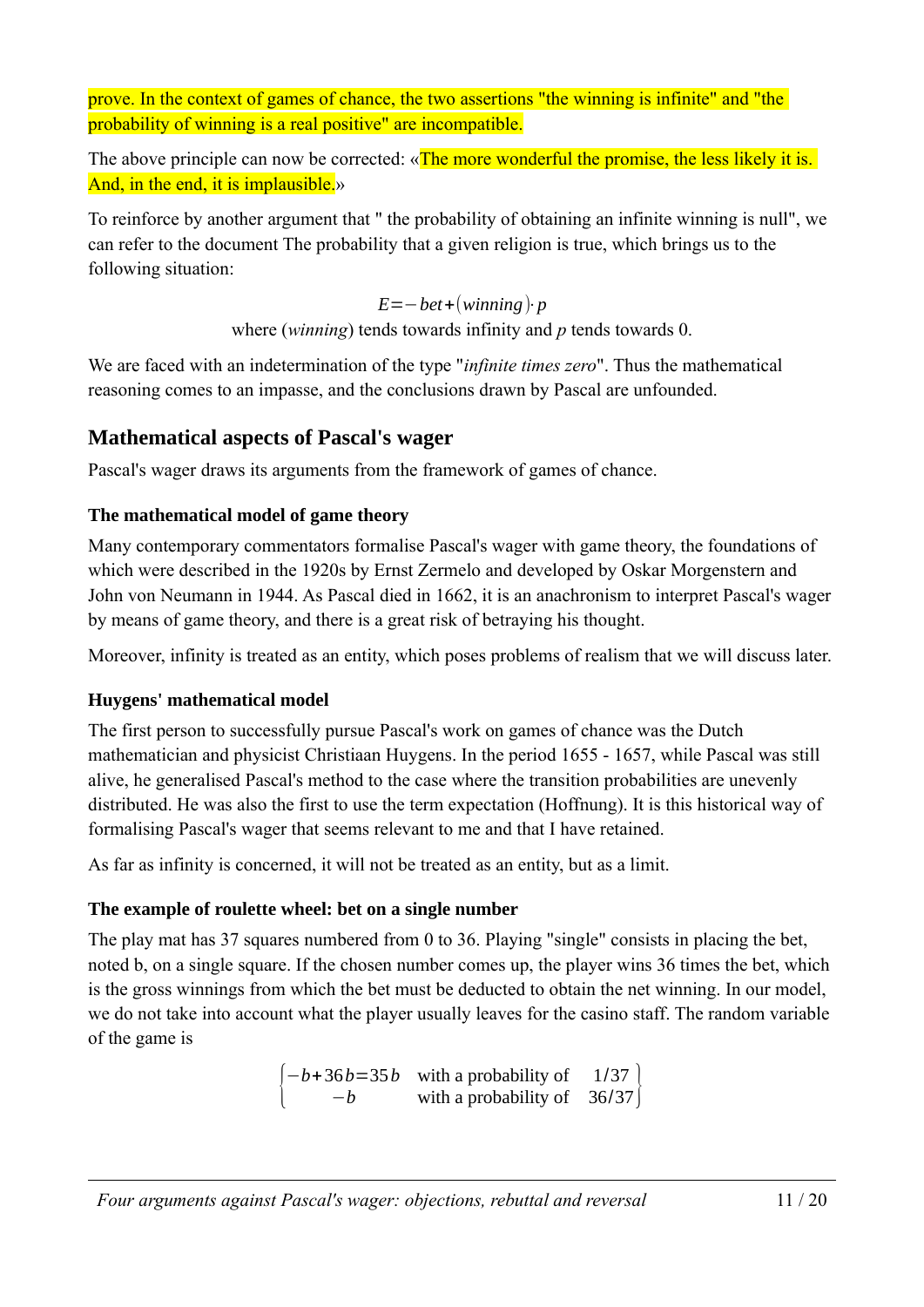prove. In the context of games of chance, the two assertions "the winning is infinite" and "the probability of winning is a real positive" are incompatible.

The above principle can now be corrected: «The more wonderful the promise, the less likely it is. And, in the end, it is implausible.»

To reinforce by another argument that " the probability of obtaining an infinite winning is null", we can refer to the document The probability that a given religion is true, which brings us to the following situation:

> $E=-\text{bet}+(winning)$ ·*p* where (*winning*) tends towards infinity and *p* tends towards 0.

We are faced with an indetermination of the type "*infinite times zero*". Thus the mathematical reasoning comes to an impasse, and the conclusions drawn by Pascal are unfounded.

## **Mathematical aspects of Pascal's wager**

Pascal's wager draws its arguments from the framework of games of chance.

## **The mathematical model of game theory**

Many contemporary commentators formalise Pascal's wager with game theory, the foundations of which were described in the 1920s by Ernst Zermelo and developed by Oskar Morgenstern and John von Neumann in 1944. As Pascal died in 1662, it is an anachronism to interpret Pascal's wager by means of game theory, and there is a great risk of betraying his thought.

Moreover, infinity is treated as an entity, which poses problems of realism that we will discuss later.

## **Huygens' mathematical model**

The first person to successfully pursue Pascal's work on games of chance was the Dutch mathematician and physicist Christiaan Huygens. In the period 1655 - 1657, while Pascal was still alive, he generalised Pascal's method to the case where the transition probabilities are unevenly distributed. He was also the first to use the term expectation (Hoffnung). It is this historical way of formalising Pascal's wager that seems relevant to me and that I have retained.

As far as infinity is concerned, it will not be treated as an entity, but as a limit.

## **The example of roulette wheel: bet on a single number**

The play mat has 37 squares numbered from 0 to 36. Playing "single" consists in placing the bet, noted b, on a single square. If the chosen number comes up, the player wins 36 times the bet, which is the gross winnings from which the bet must be deducted to obtain the net winning. In our model, we do not take into account what the player usually leaves for the casino staff. The random variable of the game is

$$
\begin{bmatrix} -b+36b=35b & \text{with a probability of} & 1/37 \\ -b & \text{with a probability of} & 36/37 \end{bmatrix}
$$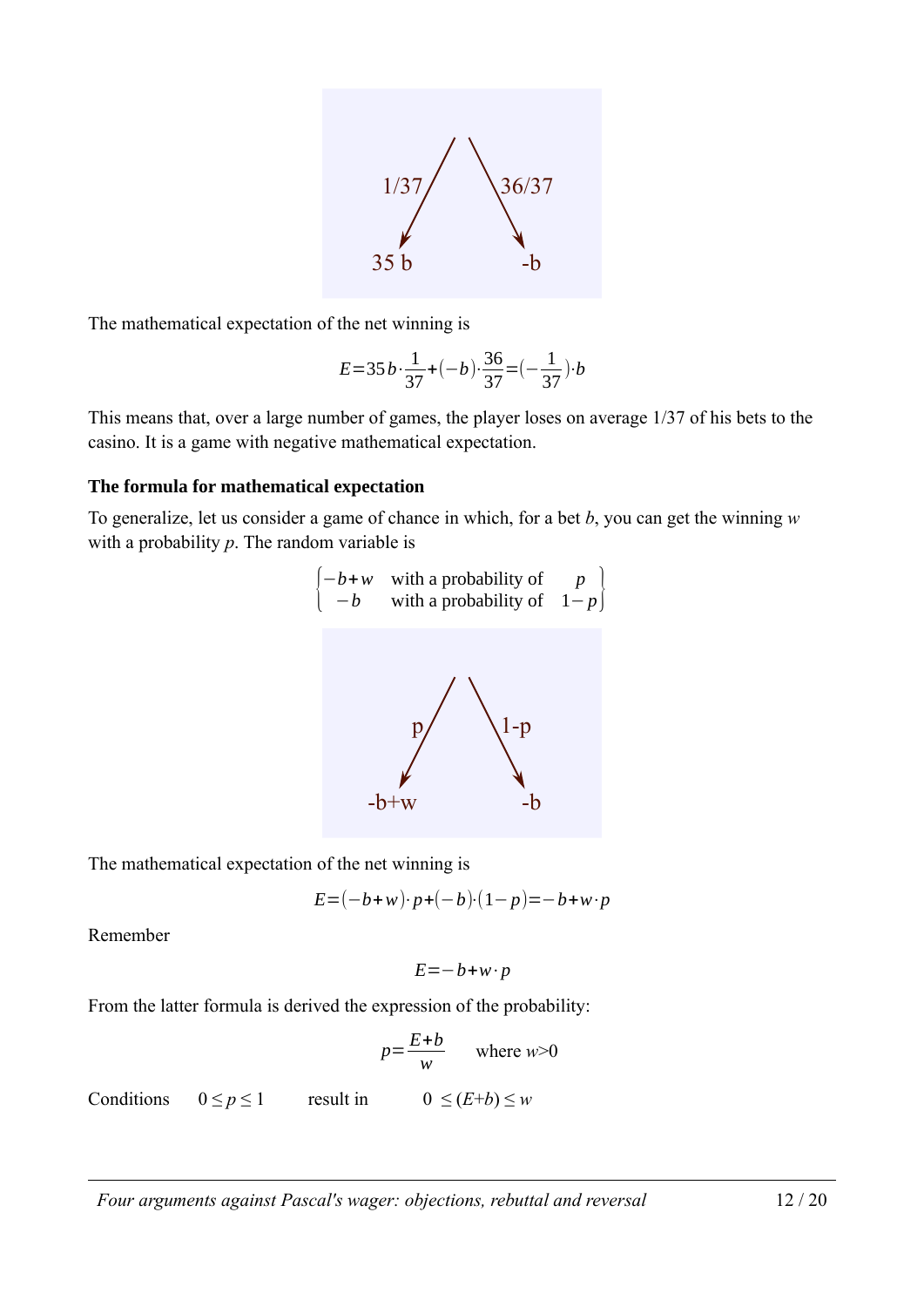

The mathematical expectation of the net winning is

$$
E = 35 b \cdot \frac{1}{37} + (-b) \cdot \frac{36}{37} = \left(-\frac{1}{37}\right) \cdot b
$$

This means that, over a large number of games, the player loses on average 1/37 of his bets to the casino. It is a game with negative mathematical expectation.

#### **The formula for mathematical expectation**

To generalize, let us consider a game of chance in which, for a bet *b*, you can get the winning *w* with a probability *p*. The random variable is



The mathematical expectation of the net winning is

$$
E = (-b+w) \cdot p + (-b) \cdot (1-p) = -b+w \cdot p
$$

Remember

$$
E = -b + w \cdot p
$$

From the latter formula is derived the expression of the probability:

$$
p = \frac{E + b}{w}
$$
 where  $w > 0$ 

Conditions  $0 \le p \le 1$  result in  $0 \le (E+b) \le w$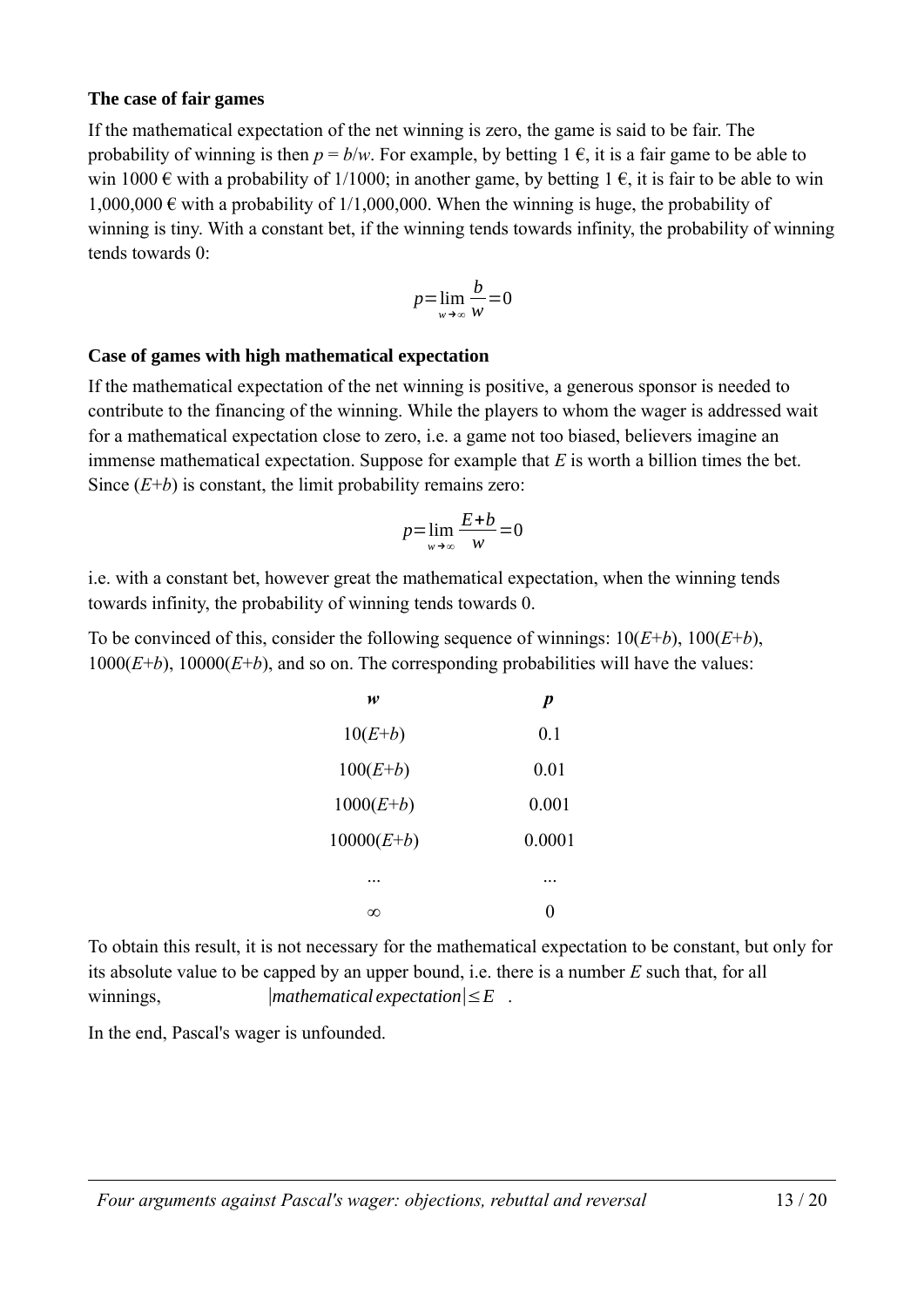#### **The case of fair games**

If the mathematical expectation of the net winning is zero, the game is said to be fair. The probability of winning is then  $p = b/w$ . For example, by betting  $1 \epsilon$ , it is a fair game to be able to win 1000  $\epsilon$  with a probability of 1/1000; in another game, by betting 1  $\epsilon$ , it is fair to be able to win  $1,000,000 \in \text{with a probability of } 1/1,000,000.$  When the winning is huge, the probability of winning is tiny. With a constant bet, if the winning tends towards infinity, the probability of winning tends towards 0:

$$
p = \lim_{w \to \infty} \frac{b}{w} = 0
$$

#### **Case of games with high mathematical expectation**

If the mathematical expectation of the net winning is positive, a generous sponsor is needed to contribute to the financing of the winning. While the players to whom the wager is addressed wait for a mathematical expectation close to zero, i.e. a game not too biased, believers imagine an immense mathematical expectation. Suppose for example that *E* is worth a billion times the bet. Since  $(E+b)$  is constant, the limit probability remains zero:

$$
p = \lim_{w \to \infty} \frac{E + b}{w} = 0
$$

i.e. with a constant bet, however great the mathematical expectation, when the winning tends towards infinity, the probability of winning tends towards 0.

To be convinced of this, consider the following sequence of winnings:  $10(E+b)$ ,  $100(E+b)$ ,  $1000(E+b)$ ,  $10000(E+b)$ , and so on. The corresponding probabilities will have the values:

| w            | $\boldsymbol{p}$ |
|--------------|------------------|
| $10(E+b)$    | 0.1              |
| $100(E+b)$   | 0.01             |
| $1000(E+b)$  | 0.001            |
| $10000(E+b)$ | 0.0001           |
|              |                  |
|              |                  |

To obtain this result, it is not necessary for the mathematical expectation to be constant, but only for its absolute value to be capped by an upper bound, i.e. there is a number *E* such that, for all  $\text{winnings.}$  |*mathematical expectation*| $\leq E$  .

In the end, Pascal's wager is unfounded.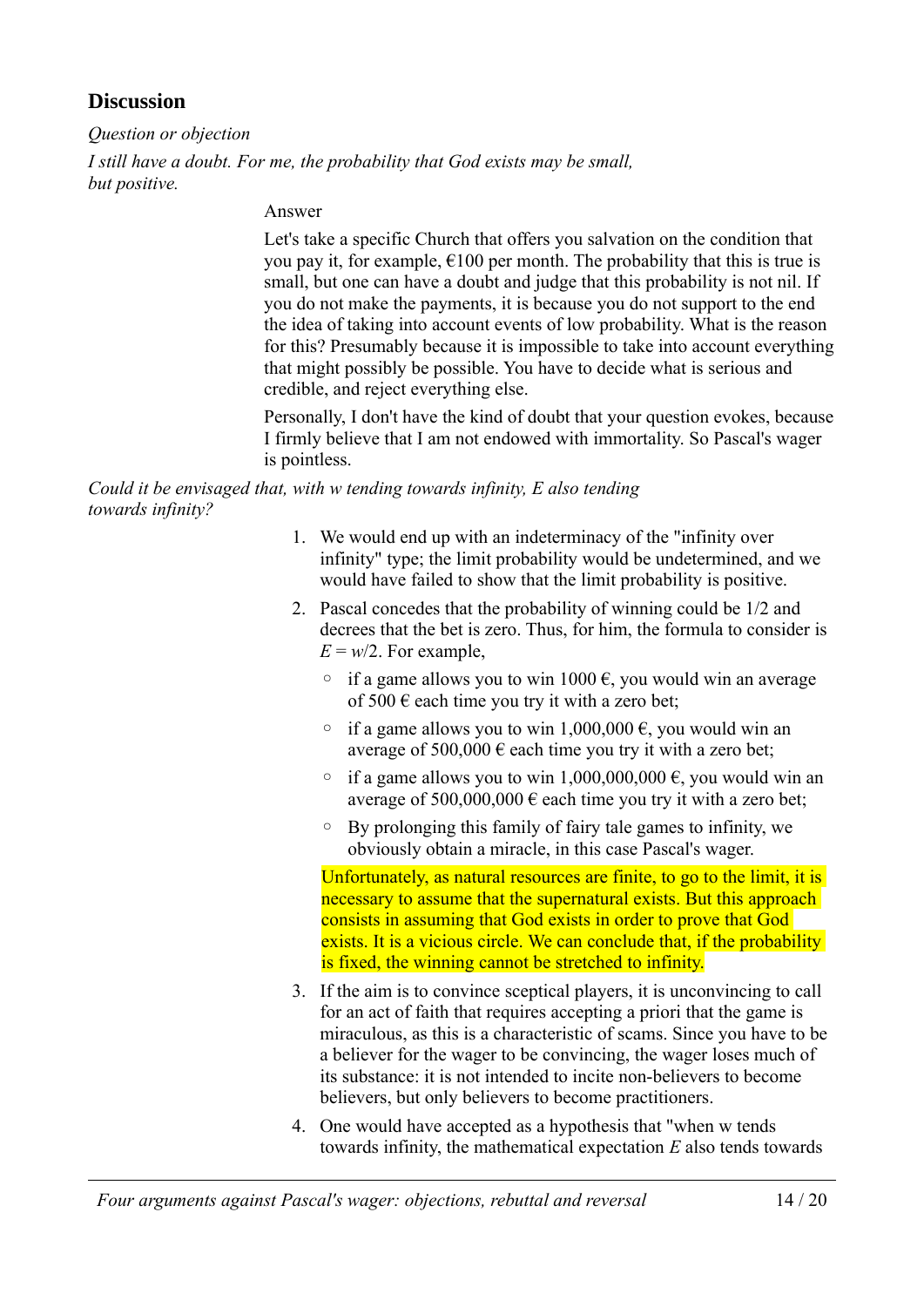#### **Discussion**

*Question or objection I still have a doubt. For me, the probability that God exists may be small, but positive.*

#### Answer

Let's take a specific Church that offers you salvation on the condition that you pay it, for example,  $\epsilon$ 100 per month. The probability that this is true is small, but one can have a doubt and judge that this probability is not nil. If you do not make the payments, it is because you do not support to the end the idea of taking into account events of low probability. What is the reason for this? Presumably because it is impossible to take into account everything that might possibly be possible. You have to decide what is serious and credible, and reject everything else.

Personally, I don't have the kind of doubt that your question evokes, because I firmly believe that I am not endowed with immortality. So Pascal's wager is pointless.

*Could it be envisaged that, with w tending towards infinity, E also tending towards infinity?*

- 1. We would end up with an indeterminacy of the "infinity over infinity" type; the limit probability would be undetermined, and we would have failed to show that the limit probability is positive.
- 2. Pascal concedes that the probability of winning could be 1/2 and decrees that the bet is zero. Thus, for him, the formula to consider is  $E = w/2$ . For example,
	- if a game allows you to win 1000 €, you would win an average of 500  $\epsilon$  each time you try it with a zero bet;
	- if a game allows you to win 1,000,000 €, you would win an average of 500,000  $\epsilon$  each time you try it with a zero bet;
	- if a game allows you to win 1,000,000,000 €, you would win an average of 500,000,000  $\epsilon$  each time you try it with a zero bet;
	- By prolonging this family of fairy tale games to infinity, we obviously obtain a miracle, in this case Pascal's wager.

Unfortunately, as natural resources are finite, to go to the limit, it is necessary to assume that the supernatural exists. But this approach consists in assuming that God exists in order to prove that God exists. It is a vicious circle. We can conclude that, if the probability is fixed, the winning cannot be stretched to infinity.

- 3. If the aim is to convince sceptical players, it is unconvincing to call for an act of faith that requires accepting a priori that the game is miraculous, as this is a characteristic of scams. Since you have to be a believer for the wager to be convincing, the wager loses much of its substance: it is not intended to incite non-believers to become believers, but only believers to become practitioners.
- 4. One would have accepted as a hypothesis that "when w tends towards infinity, the mathematical expectation *E* also tends towards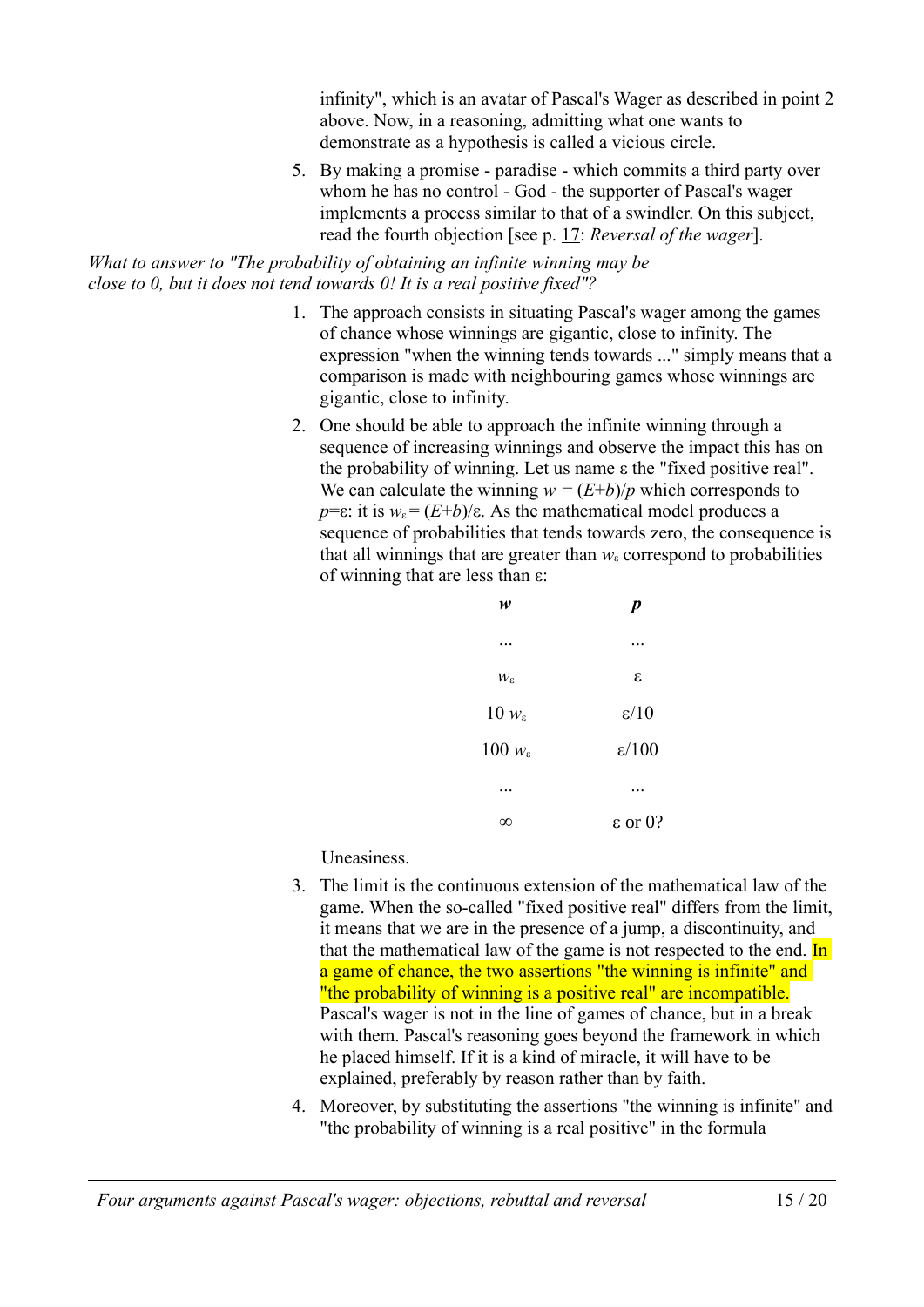infinity", which is an avatar of Pascal's Wager as described in point 2 above. Now, in a reasoning, admitting what one wants to demonstrate as a hypothesis is called a vicious circle.

5. By making a promise - paradise - which commits a third party over whom he has no control - God - the supporter of Pascal's wager implements a process similar to that of a swindler. On this subject, read the fourth objection [see p. [17:](#page-16-0) *Reversal of the wager*].

*What to answer to "The probability of obtaining an infinite winning may be close to 0, but it does not tend towards 0! It is a real positive fixed"?*

- 1. The approach consists in situating Pascal's wager among the games of chance whose winnings are gigantic, close to infinity. The expression "when the winning tends towards ..." simply means that a comparison is made with neighbouring games whose winnings are gigantic, close to infinity.
- 2. One should be able to approach the infinite winning through a sequence of increasing winnings and observe the impact this has on the probability of winning. Let us name ε the "fixed positive real". We can calculate the winning  $w = (E + b)/p$  which corresponds to *p*=ε: it is  $w_0 = (E + b)/\varepsilon$ . As the mathematical model produces a sequence of probabilities that tends towards zero, the consequence is that all winnings that are greater than  $w_{\varepsilon}$  correspond to probabilities of winning that are less than ε:

| w                  |                |
|--------------------|----------------|
|                    |                |
| $W_{\varepsilon}$  | ε              |
| $10 w_{\epsilon}$  | $\epsilon/10$  |
| 100 w <sub>s</sub> | $\epsilon/100$ |
|                    |                |
|                    | ε or 0?        |

Uneasiness.

- 3. The limit is the continuous extension of the mathematical law of the game. When the so-called "fixed positive real" differs from the limit, it means that we are in the presence of a jump, a discontinuity, and that the mathematical law of the game is not respected to the end. In a game of chance, the two assertions "the winning is infinite" and "the probability of winning is a positive real" are incompatible. Pascal's wager is not in the line of games of chance, but in a break with them. Pascal's reasoning goes beyond the framework in which he placed himself. If it is a kind of miracle, it will have to be explained, preferably by reason rather than by faith.
- 4. Moreover, by substituting the assertions "the winning is infinite" and "the probability of winning is a real positive" in the formula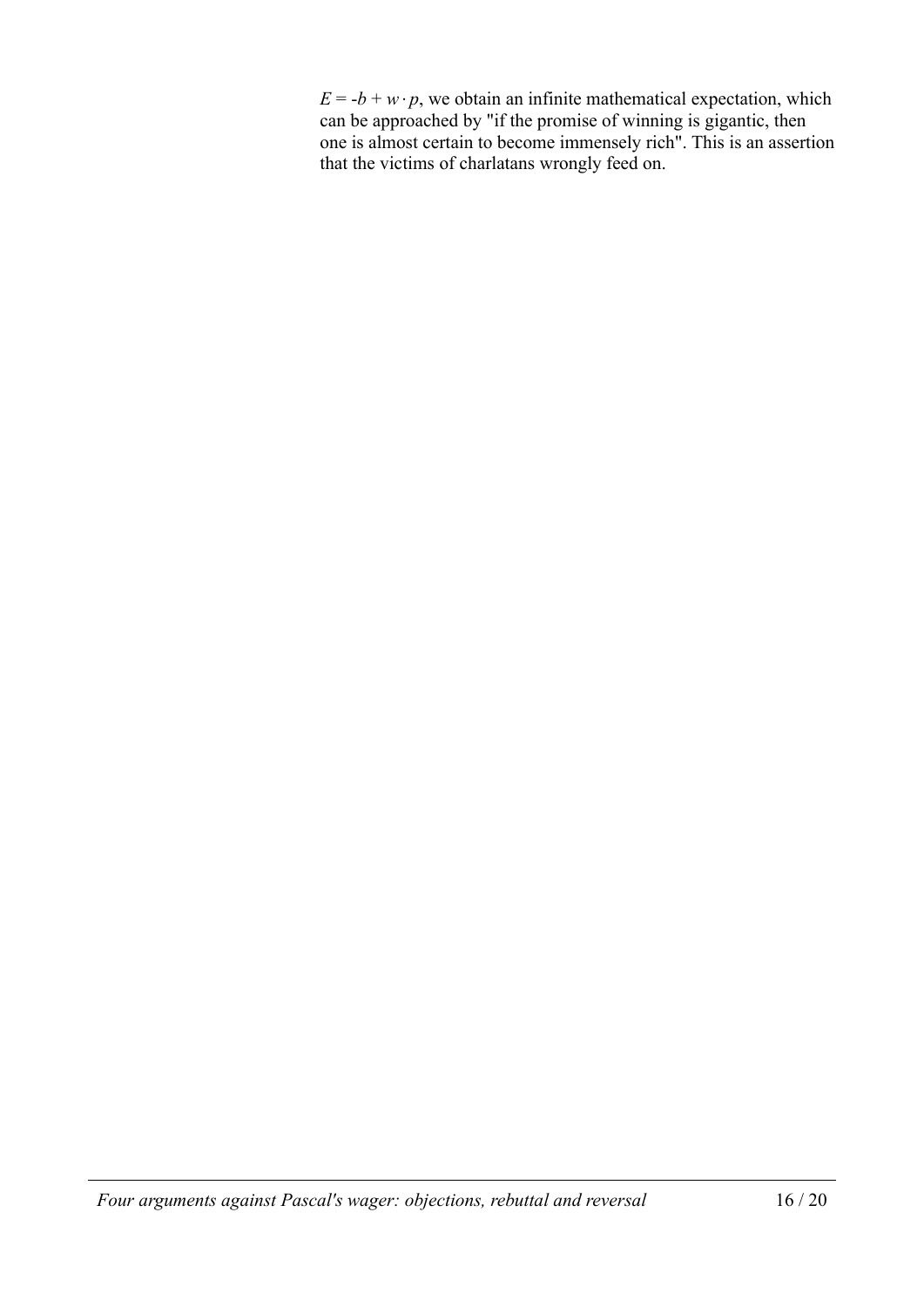$E = -b + w \cdot p$ , we obtain an infinite mathematical expectation, which can be approached by "if the promise of winning is gigantic, then one is almost certain to become immensely rich". This is an assertion that the victims of charlatans wrongly feed on.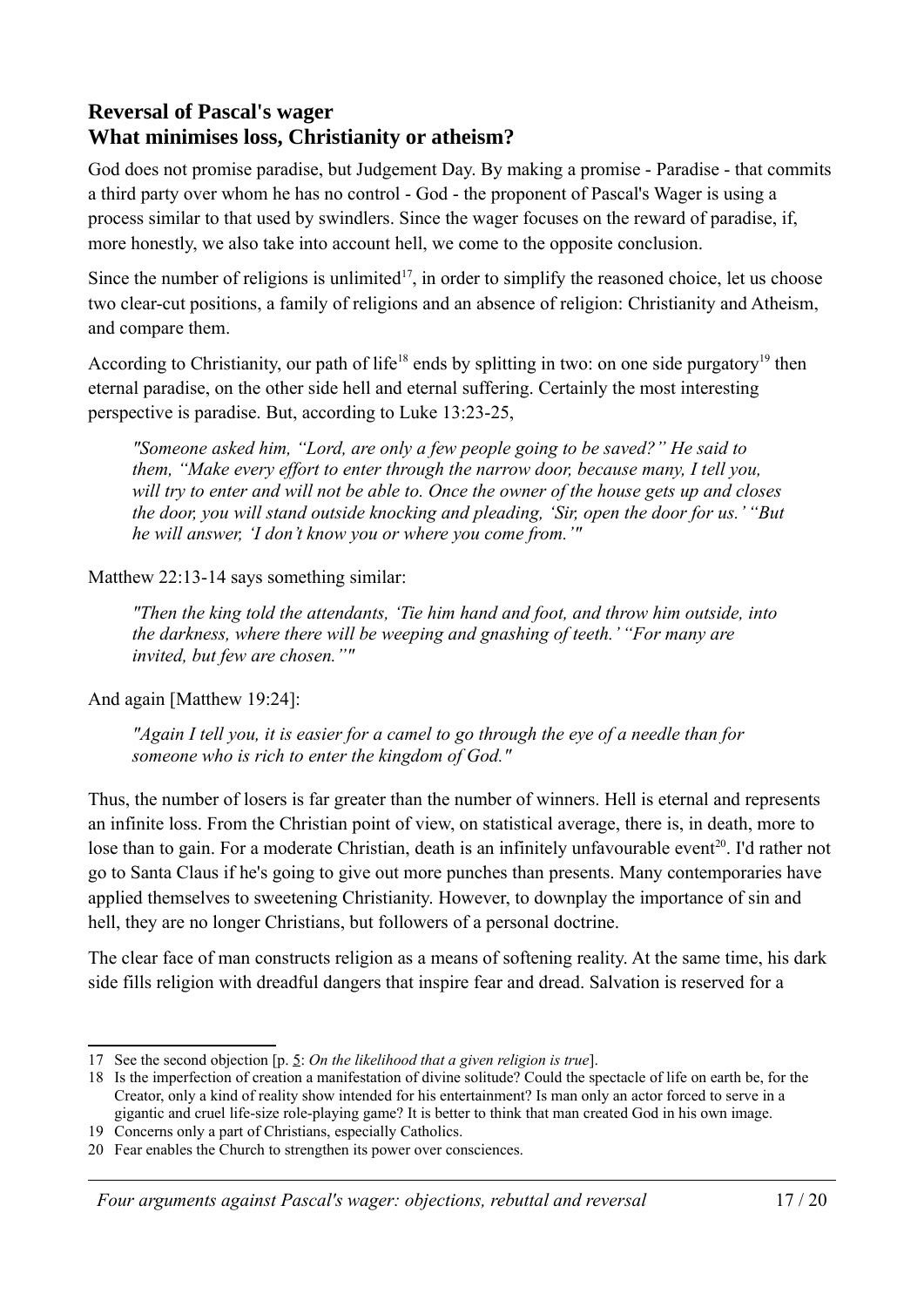## <span id="page-16-0"></span>**Reversal of Pascal's wager What minimises loss, Christianity or atheism?**

God does not promise paradise, but Judgement Day. By making a promise - Paradise - that commits a third party over whom he has no control - God - the proponent of Pascal's Wager is using a process similar to that used by swindlers. Since the wager focuses on the reward of paradise, if, more honestly, we also take into account hell, we come to the opposite conclusion.

Since the number of religions is unlimited<sup>[17](#page-16-1)</sup>, in order to simplify the reasoned choice, let us choose two clear-cut positions, a family of religions and an absence of religion: Christianity and Atheism, and compare them.

According to Christianity, our path of life<sup>[18](#page-16-2)</sup> ends by splitting in two: on one side purgatory<sup>[19](#page-16-3)</sup> then eternal paradise, on the other side hell and eternal suffering. Certainly the most interesting perspective is paradise. But, according to Luke 13:23-25,

*"Someone asked him, "Lord, are only a few people going to be saved?" He said to them, "Make every effort to enter through the narrow door, because many, I tell you, will try to enter and will not be able to. Once the owner of the house gets up and closes the door, you will stand outside knocking and pleading, 'Sir, open the door for us.' "But he will answer, 'I don't know you or where you come from.'"*

Matthew 22:13-14 says something similar:

*"Then the king told the attendants, 'Tie him hand and foot, and throw him outside, into the darkness, where there will be weeping and gnashing of teeth.' "For many are invited, but few are chosen.""*

And again [Matthew 19:24]:

*"Again I tell you, it is easier for a camel to go through the eye of a needle than for someone who is rich to enter the kingdom of God."*

Thus, the number of losers is far greater than the number of winners. Hell is eternal and represents an infinite loss. From the Christian point of view, on statistical average, there is, in death, more to lose than to gain. For a moderate Christian, death is an infinitely unfavourable event<sup>[20](#page-16-4)</sup>. I'd rather not go to Santa Claus if he's going to give out more punches than presents. Many contemporaries have applied themselves to sweetening Christianity. However, to downplay the importance of sin and hell, they are no longer Christians, but followers of a personal doctrine.

The clear face of man constructs religion as a means of softening reality. At the same time, his dark side fills religion with dreadful dangers that inspire fear and dread. Salvation is reserved for a

<span id="page-16-1"></span><sup>17</sup> See the second objection [p. [5:](#page-4-0) *On the likelihood that a given religion is true*].

<span id="page-16-2"></span><sup>18</sup> Is the imperfection of creation a manifestation of divine solitude? Could the spectacle of life on earth be, for the Creator, only a kind of reality show intended for his entertainment? Is man only an actor forced to serve in a gigantic and cruel life-size role-playing game? It is better to think that man created God in his own image.

<span id="page-16-3"></span><sup>19</sup> Concerns only a part of Christians, especially Catholics.

<span id="page-16-4"></span><sup>20</sup> Fear enables the Church to strengthen its power over consciences.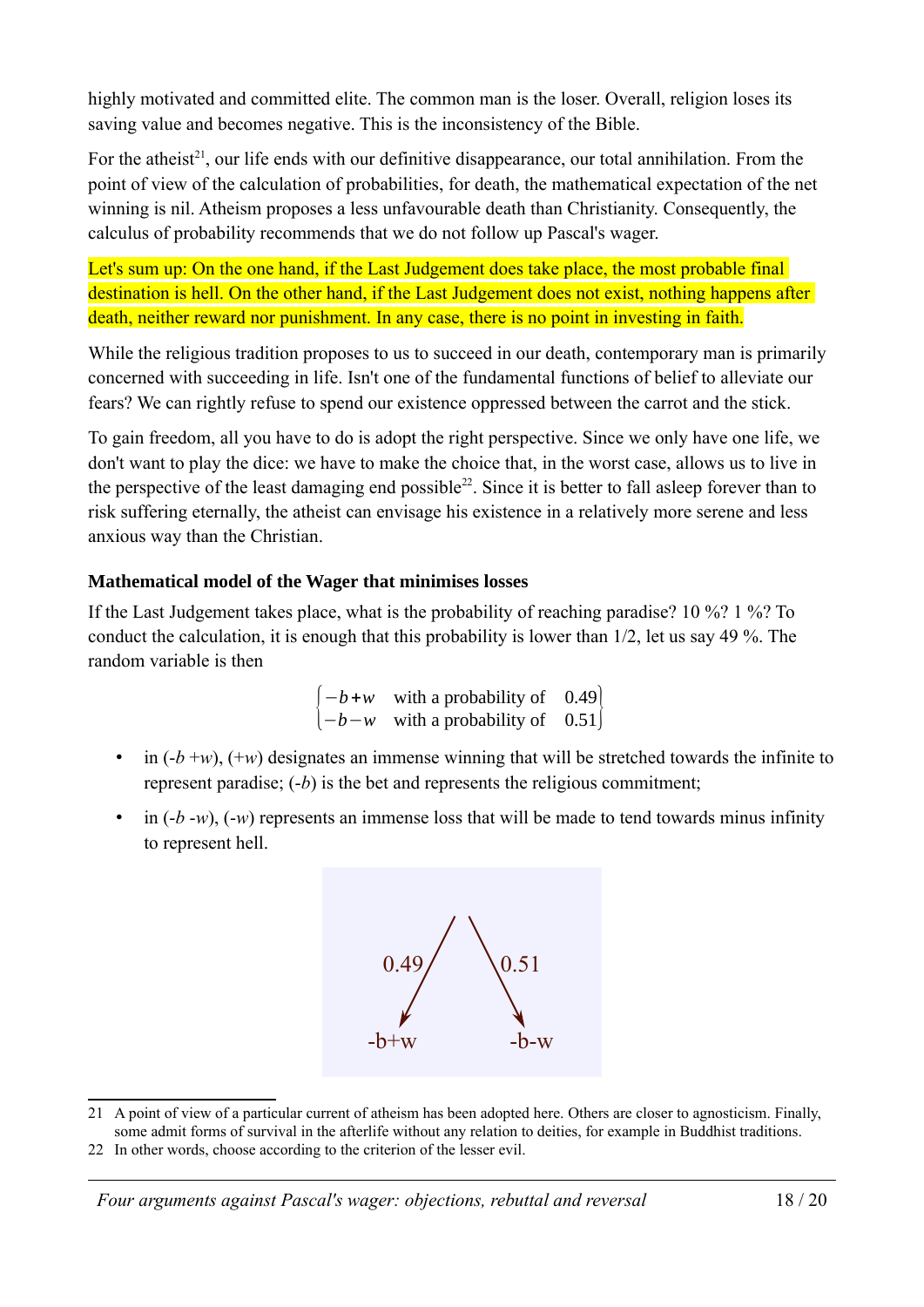highly motivated and committed elite. The common man is the loser. Overall, religion loses its saving value and becomes negative. This is the inconsistency of the Bible.

For the atheist<sup>[21](#page-17-0)</sup>, our life ends with our definitive disappearance, our total annihilation. From the point of view of the calculation of probabilities, for death, the mathematical expectation of the net winning is nil. Atheism proposes a less unfavourable death than Christianity. Consequently, the calculus of probability recommends that we do not follow up Pascal's wager.

Let's sum up: On the one hand, if the Last Judgement does take place, the most probable final destination is hell. On the other hand, if the Last Judgement does not exist, nothing happens after death, neither reward nor punishment. In any case, there is no point in investing in faith.

While the religious tradition proposes to us to succeed in our death, contemporary man is primarily concerned with succeeding in life. Isn't one of the fundamental functions of belief to alleviate our fears? We can rightly refuse to spend our existence oppressed between the carrot and the stick.

To gain freedom, all you have to do is adopt the right perspective. Since we only have one life, we don't want to play the dice: we have to make the choice that, in the worst case, allows us to live in the perspective of the least damaging end possible<sup>[22](#page-17-1)</sup>. Since it is better to fall asleep forever than to risk suffering eternally, the atheist can envisage his existence in a relatively more serene and less anxious way than the Christian.

#### **Mathematical model of the Wager that minimises losses**

If the Last Judgement takes place, what is the probability of reaching paradise? 10 %? 1 %? To conduct the calculation, it is enough that this probability is lower than 1/2, let us say 49 %. The random variable is then

$$
\begin{bmatrix} -b+w & \text{with a probability of} & 0.49 \\ -b-w & \text{with a probability of} & 0.51 \end{bmatrix}
$$

- in  $(-b + w)$ ,  $(+w)$  designates an immense winning that will be stretched towards the infinite to represent paradise; (-*b*) is the bet and represents the religious commitment;
- in  $(-b w)$ ,  $(-w)$  represents an immense loss that will be made to tend towards minus infinity to represent hell.



<span id="page-17-0"></span><sup>21</sup> A point of view of a particular current of atheism has been adopted here. Others are closer to agnosticism. Finally, some admit forms of survival in the afterlife without any relation to deities, for example in Buddhist traditions.

<span id="page-17-1"></span><sup>22</sup> In other words, choose according to the criterion of the lesser evil.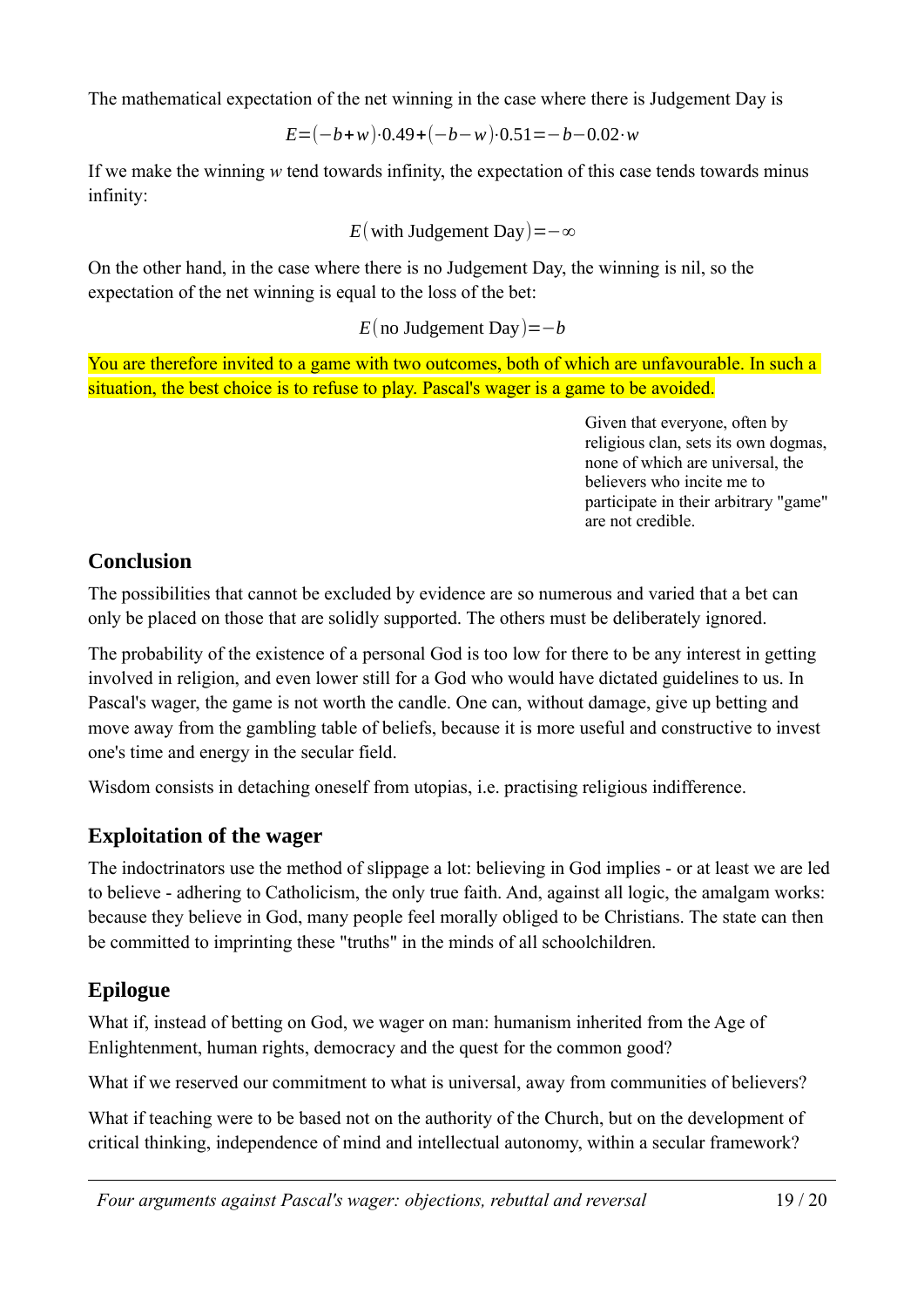The mathematical expectation of the net winning in the case where there is Judgement Day is

$$
E{=}(-b{+}w){\cdot}0.49{+}(-b{-}w){\cdot}0.51{=}{-}b{-}0.02{\cdot}w
$$

If we make the winning *w* tend towards infinity, the expectation of this case tends towards minus infinity:

*E*(with Judgement Day) =  $-\infty$ 

On the other hand, in the case where there is no Judgement Day, the winning is nil, so the expectation of the net winning is equal to the loss of the bet:

*E*(no Judgement Day)= $-b$ 

You are therefore invited to a game with two outcomes, both of which are unfavourable. In such a situation, the best choice is to refuse to play. Pascal's wager is a game to be avoided.

> Given that everyone, often by religious clan, sets its own dogmas, none of which are universal, the believers who incite me to participate in their arbitrary "game" are not credible.

## **Conclusion**

The possibilities that cannot be excluded by evidence are so numerous and varied that a bet can only be placed on those that are solidly supported. The others must be deliberately ignored.

The probability of the existence of a personal God is too low for there to be any interest in getting involved in religion, and even lower still for a God who would have dictated guidelines to us. In Pascal's wager, the game is not worth the candle. One can, without damage, give up betting and move away from the gambling table of beliefs, because it is more useful and constructive to invest one's time and energy in the secular field.

Wisdom consists in detaching oneself from utopias, i.e. practising religious indifference.

## **Exploitation of the wager**

The indoctrinators use the method of slippage a lot: believing in God implies - or at least we are led to believe - adhering to Catholicism, the only true faith. And, against all logic, the amalgam works: because they believe in God, many people feel morally obliged to be Christians. The state can then be committed to imprinting these "truths" in the minds of all schoolchildren.

## **Epilogue**

What if, instead of betting on God, we wager on man: humanism inherited from the Age of Enlightenment, human rights, democracy and the quest for the common good?

What if we reserved our commitment to what is universal, away from communities of believers?

What if teaching were to be based not on the authority of the Church, but on the development of critical thinking, independence of mind and intellectual autonomy, within a secular framework?